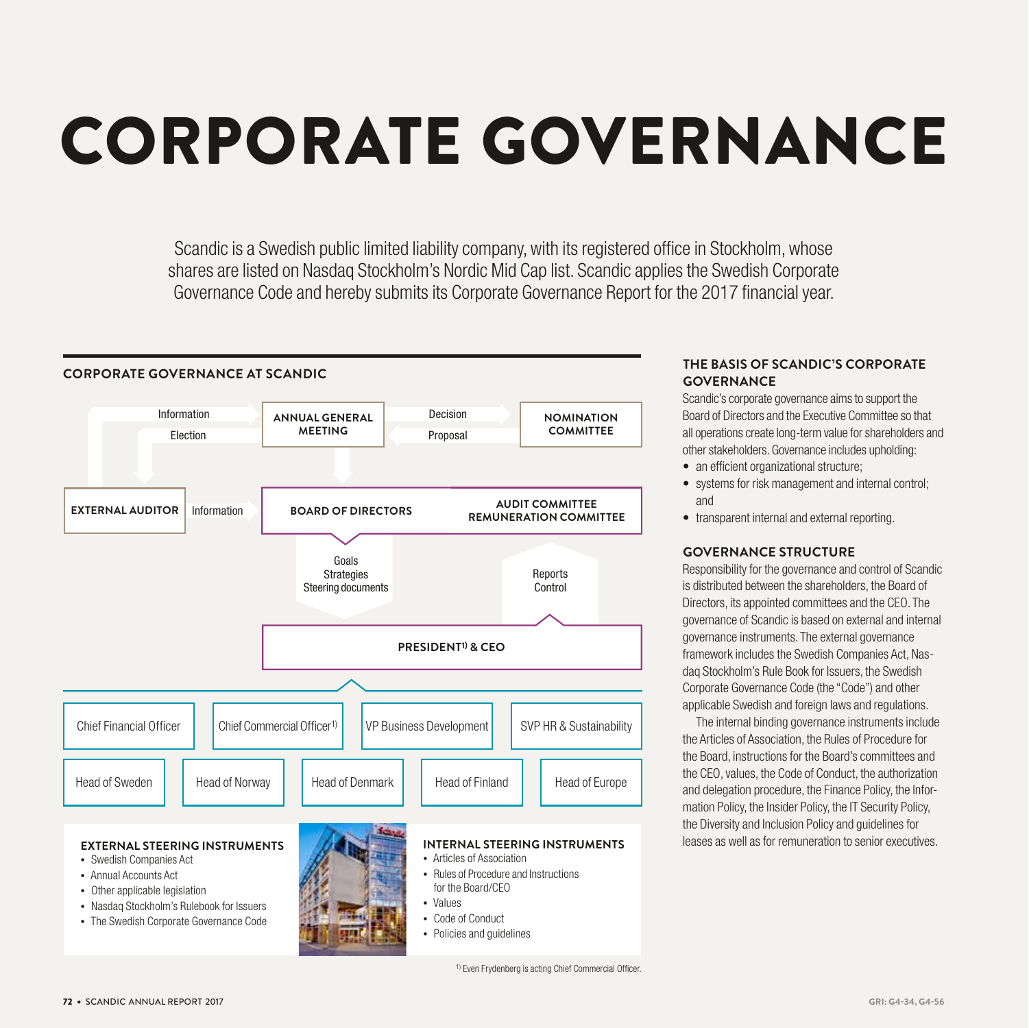# CORPORATE GOVERNANCE

Scandic is a Swedish public limited liability company, with its registered office in Stockholm, whose shares are listed on Nasdaq Stockholm's Nordic Mid Cap list. Scandic applies the Swedish Corporate Governance Code and hereby submits its Corporate Governance Report for the 2017 financial year.



# **THE BASIS OF SCANDIC'S CORPORATE GOVERNANCE**

Scandic's corporate governance aims to support the Board of Directors and the Executive Committee so that all operations create long-term value for shareholders and other stakeholders. Governance includes upholding:

- an efficient organizational structure;
- systems for risk management and internal control; and
- transparent internal and external reporting.

# **GOVERNANCE STRUCTURE**

Responsibility for the governance and control of Scandic is distributed between the shareholders, the Board of Directors, its appointed committees and the CEO. The governance of Scandic is based on external and internal governance instruments. The external governance framework includes the Swedish Companies Act, Nasdaq Stockholm's Rule Book for Issuers, the Swedish Corporate Governance Code (the "Code") and other applicable Swedish and foreign laws and regulations.

The internal binding governance instruments include the Articles of Association, the Rules of Procedure for the Board, instructions for the Board's committees and the CEO, values, the Code of Conduct, the authorization and delegation procedure, the Finance Policy, the Information Policy, the Insider Policy, the IT Security Policy, the Diversity and Inclusion Policy and guidelines for leases as well as for remuneration to senior executives.

1) Even Frydenberg is acting Chief Commercial Officer.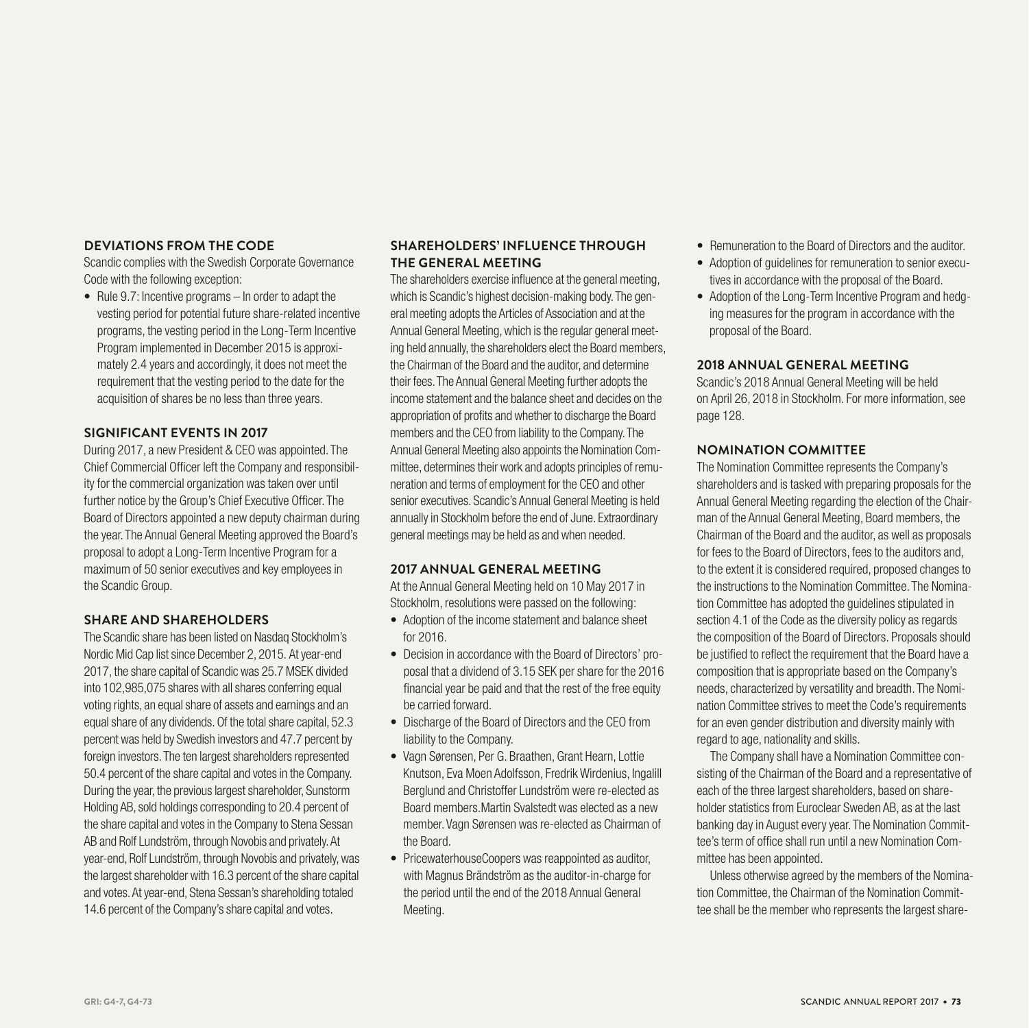# **DEVIATIONS FROM THE CODE**

Scandic complies with the Swedish Corporate Governance Code with the following exception:

• Rule 9.7: Incentive programs – In order to adapt the vesting period for potential future share-related incentive programs, the vesting period in the Long-Term Incentive Program implemented in December 2015 is approximately 2.4 years and accordingly, it does not meet the requirement that the vesting period to the date for the acquisition of shares be no less than three years.

# **SIGNIFICANT EVENTS IN 2017**

During 2017, a new President & CEO was appointed. The Chief Commercial Officer left the Company and responsibility for the commercial organization was taken over until further notice by the Group's Chief Executive Officer. The Board of Directors appointed a new deputy chairman during the year. The Annual General Meeting approved the Board's proposal to adopt a Long-Term Incentive Program for a maximum of 50 senior executives and key employees in the Scandic Group.

# **SHARE AND SHAREHOLDERS**

The Scandic share has been listed on Nasdaq Stockholm's Nordic Mid Cap list since December 2, 2015. At year-end 2017, the share capital of Scandic was 25.7 MSEK divided into 102,985,075 shares with all shares conferring equal voting rights, an equal share of assets and earnings and an equal share of any dividends. Of the total share capital, 52.3 percent was held by Swedish investors and 47.7 percent by foreign investors. The ten largest shareholders represented 50.4 percent of the share capital and votes in the Company. During the year, the previous largest shareholder, Sunstorm Holding AB, sold holdings corresponding to 20.4 percent of the share capital and votes in the Company to Stena Sessan AB and Rolf Lundström, through Novobis and privately. At year-end, Rolf Lundström, through Novobis and privately, was the largest shareholder with 16.3 percent of the share capital and votes. At year-end, Stena Sessan's shareholding totaled 14.6 percent of the Company's share capital and votes.

# **SHAREHOLDERS' INFLUENCE THROUGH THE GENERAL MEETING**

The shareholders exercise influence at the general meeting, which is Scandic's highest decision-making body. The general meeting adopts the Articles of Association and at the Annual General Meeting, which is the regular general meeting held annually, the shareholders elect the Board members, the Chairman of the Board and the auditor, and determine their fees. The Annual General Meeting further adopts the income statement and the balance sheet and decides on the appropriation of profits and whether to discharge the Board members and the CEO from liability to the Company. The Annual General Meeting also appoints the Nomination Committee, determines their work and adopts principles of remuneration and terms of employment for the CEO and other senior executives. Scandic's Annual General Meeting is held annually in Stockholm before the end of June. Extraordinary general meetings may be held as and when needed.

# **2017 ANNUAL GENERAL MEETING**

At the Annual General Meeting held on 10 May 2017 in Stockholm, resolutions were passed on the following:

- Adoption of the income statement and balance sheet for 2016.
- Decision in accordance with the Board of Directors' proposal that a dividend of 3.15 SEK per share for the 2016 financial year be paid and that the rest of the free equity be carried forward.
- Discharge of the Board of Directors and the CEO from liability to the Company.
- Vagn Sørensen, Per G. Braathen, Grant Hearn, Lottie Knutson, Eva Moen Adolfsson, Fredrik Wirdenius, Ingalill Berglund and Christoffer Lundström were re-elected as Board members.Martin Svalstedt was elected as a new member. Vagn Sørensen was re-elected as Chairman of the Board.
- PricewaterhouseCoopers was reappointed as auditor, with Magnus Brändström as the auditor-in-charge for the period until the end of the 2018 Annual General Meeting.
- Remuneration to the Board of Directors and the auditor.
- Adoption of guidelines for remuneration to senior executives in accordance with the proposal of the Board.
- Adoption of the Long-Term Incentive Program and hedging measures for the program in accordance with the proposal of the Board.

# **2018 ANNUAL GENERAL MEETING**

Scandic's 2018 Annual General Meeting will be held on April 26, 2018 in Stockholm. For more information, see page 128.

# **NOMINATION COMMITTEE**

The Nomination Committee represents the Company's shareholders and is tasked with preparing proposals for the Annual General Meeting regarding the election of the Chairman of the Annual General Meeting, Board members, the Chairman of the Board and the auditor, as well as proposals for fees to the Board of Directors, fees to the auditors and, to the extent it is considered required, proposed changes to the instructions to the Nomination Committee. The Nomination Committee has adopted the guidelines stipulated in section 4.1 of the Code as the diversity policy as regards the composition of the Board of Directors. Proposals should be justified to reflect the requirement that the Board have a composition that is appropriate based on the Company's needs, characterized by versatility and breadth. The Nomination Committee strives to meet the Code's requirements for an even gender distribution and diversity mainly with regard to age, nationality and skills.

The Company shall have a Nomination Committee consisting of the Chairman of the Board and a representative of each of the three largest shareholders, based on shareholder statistics from Euroclear Sweden AB, as at the last banking day in August every year. The Nomination Committee's term of office shall run until a new Nomination Committee has been appointed.

Unless otherwise agreed by the members of the Nomination Committee, the Chairman of the Nomination Committee shall be the member who represents the largest share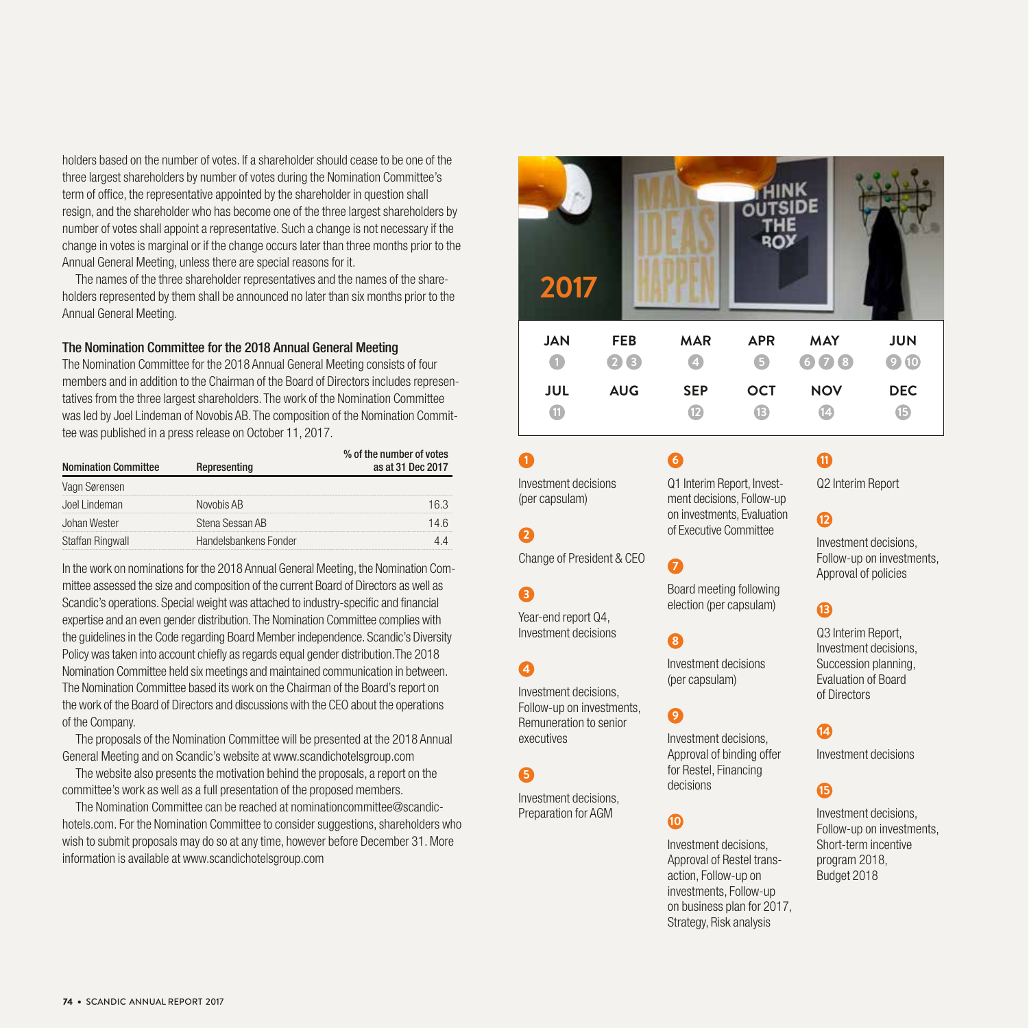holders based on the number of votes. If a shareholder should cease to be one of the three largest shareholders by number of votes during the Nomination Committee's term of office, the representative appointed by the shareholder in question shall resign, and the shareholder who has become one of the three largest shareholders by number of votes shall appoint a representative. Such a change is not necessary if the change in votes is marginal or if the change occurs later than three months prior to the Annual General Meeting, unless there are special reasons for it.

The names of the three shareholder representatives and the names of the shareholders represented by them shall be announced no later than six months prior to the Annual General Meeting.

# The Nomination Committee for the 2018 Annual General Meeting

The Nomination Committee for the 2018 Annual General Meeting consists of four members and in addition to the Chairman of the Board of Directors includes representatives from the three largest shareholders. The work of the Nomination Committee was led by Joel Lindeman of Novobis AB. The composition of the Nomination Committee was published in a press release on October 11, 2017.

| <b>Nomination Committee</b> | Representing          | % of the number of votes<br>as at 31 Dec 2017 |
|-----------------------------|-----------------------|-----------------------------------------------|
| Vagn Sørensen               |                       |                                               |
| Joel Lindeman               | Novobis AB            |                                               |
| Johan Wester                | Stena Sessan AB       |                                               |
| Staffan Ringwall            | Handelsbankens Fonder |                                               |

In the work on nominations for the 2018 Annual General Meeting, the Nomination Committee assessed the size and composition of the current Board of Directors as well as Scandic's operations. Special weight was attached to industry-specific and financial expertise and an even gender distribution. The Nomination Committee complies with the guidelines in the Code regarding Board Member independence. Scandic's Diversity Policy was taken into account chiefly as regards equal gender distribution.The 2018 Nomination Committee held six meetings and maintained communication in between. The Nomination Committee based its work on the Chairman of the Board's report on the work of the Board of Directors and discussions with the CEO about the operations of the Company.

The proposals of the Nomination Committee will be presented at the 2018 Annual General Meeting and on Scandic's website at www.scandichotelsgroup.com

The website also presents the motivation behind the proposals, a report on the committee's work as well as a full presentation of the proposed members.

The Nomination Committee can be reached at nominationcommittee@scandichotels.com. For the Nomination Committee to consider suggestions, shareholders who wish to submit proposals may do so at any time, however before December 31. More information is available at www.scandichotelsgroup.com



Investment decisions (per capsulam)

# **2**

**1**

Change of President & CEO

**3**

Year-end report Q4, Investment decisions

# **4**

Investment decisions, Follow-up on investments, Remuneration to senior executives

# **5**

Investment decisions, Preparation for AGM

# Q1 Interim Report, Investment decisions, Follow-up on investments, Evaluation of Executive Committee

# **7**

**6**

Board meeting following election (per capsulam)

# **8**

Investment decisions (per capsulam)

# **9**

Investment decisions, Approval of binding offer for Restel, Financing decisions

# **10**

Investment decisions, Approval of Restel transaction, Follow-up on investments, Follow-up on business plan for 2017, Strategy, Risk analysis

# **11**

Q2 Interim Report

# 12

Investment decisions, Follow-up on investments, Approval of policies

# **13**

Q3 Interim Report, Investment decisions, Succession planning, Evaluation of Board of Directors

# **14**

Investment decisions

# **15**

Investment decisions, Follow-up on investments, Short-term incentive program 2018, Budget 2018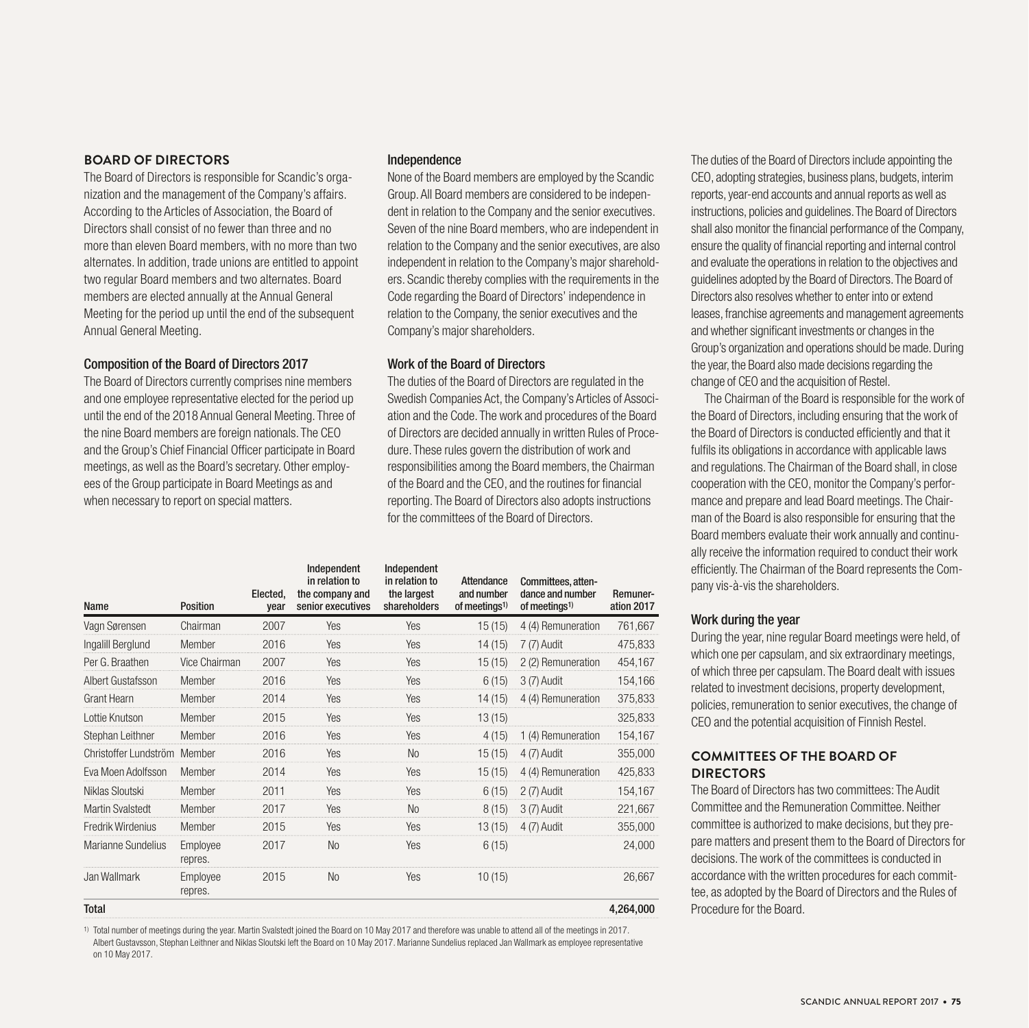# **BOARD OF DIRECTORS**

The Board of Directors is responsible for Scandic's organization and the management of the Company's affairs. According to the Articles of Association, the Board of Directors shall consist of no fewer than three and no more than eleven Board members, with no more than two alternates. In addition, trade unions are entitled to appoint two regular Board members and two alternates. Board members are elected annually at the Annual General Meeting for the period up until the end of the subsequent Annual General Meeting.

# Composition of the Board of Directors 2017

The Board of Directors currently comprises nine members and one employee representative elected for the period up until the end of the 2018 Annual General Meeting. Three of the nine Board members are foreign nationals. The CEO and the Group's Chief Financial Officer participate in Board meetings, as well as the Board's secretary. Other employees of the Group participate in Board Meetings as and when necessary to report on special matters.

## Independence

None of the Board members are employed by the Scandic Group. All Board members are considered to be independent in relation to the Company and the senior executives. Seven of the nine Board members, who are independent in relation to the Company and the senior executives, are also independent in relation to the Company's major shareholders. Scandic thereby complies with the requirements in the Code regarding the Board of Directors' independence in relation to the Company, the senior executives and the Company's major shareholders.

# Work of the Board of Directors

The duties of the Board of Directors are regulated in the Swedish Companies Act, the Company's Articles of Association and the Code. The work and procedures of the Board of Directors are decided annually in written Rules of Procedure. These rules govern the distribution of work and responsibilities among the Board members, the Chairman of the Board and the CEO, and the routines for financial reporting. The Board of Directors also adopts instructions for the committees of the Board of Directors.

| Name                    | <b>Position</b>     | Elected,<br>vear | Independent<br>in relation to<br>the company and<br>senior executives | Independent<br>in relation to<br>the largest<br>shareholders | <b>Attendance</b><br>and number<br>of meetings <sup>1)</sup> | Committees, atten-<br>dance and number<br>of meetings <sup>1)</sup> | Remuner-<br>ation 2017 |
|-------------------------|---------------------|------------------|-----------------------------------------------------------------------|--------------------------------------------------------------|--------------------------------------------------------------|---------------------------------------------------------------------|------------------------|
| Vagn Sørensen           | Chairman            | 2007             | Yes                                                                   | Yes                                                          | 15(15)                                                       | 4 (4) Remuneration                                                  | 761,667                |
| Ingalill Berglund       | Member              | 2016             | Yes                                                                   | Yes                                                          | 14(15)                                                       | 7 (7) Audit                                                         | 475,833                |
| Per G. Braathen         | Vice Chairman       | 2007             | Yes                                                                   | Yes                                                          | 15(15)                                                       | 2 (2) Remuneration                                                  | 454,167                |
| Albert Gustafsson       | Member              | 2016             | Yes                                                                   | Yes                                                          | 6(15)                                                        | 3 (7) Audit                                                         | 154,166                |
| <b>Grant Hearn</b>      | Member              | 2014             | Yes                                                                   | Yes                                                          | 14(15)                                                       | 4 (4) Remuneration                                                  | 375,833                |
| Lottie Knutson          | Member              | 2015             | Yes                                                                   | Yes                                                          | 13(15)                                                       |                                                                     | 325,833                |
| Stephan Leithner        | Member              | 2016             | Yes                                                                   | Yes                                                          | 4(15)                                                        | 1 (4) Remuneration                                                  | 154,167                |
| Christoffer Lundström   | Member              | 2016             | Yes                                                                   | <b>No</b>                                                    | 15(15)                                                       | 4 (7) Audit                                                         | 355,000                |
| Eva Moen Adolfsson      | Member              | 2014             | Yes                                                                   | Yes                                                          | 15(15)                                                       | 4 (4) Remuneration                                                  | 425,833                |
| Niklas Sloutski         | Member              | 2011             | Yes                                                                   | Yes                                                          | 6(15)                                                        | 2 (7) Audit                                                         | 154,167                |
| <b>Martin Svalstedt</b> | Member              | 2017             | Yes                                                                   | <b>No</b>                                                    | 8(15)                                                        | 3 (7) Audit                                                         | 221,667                |
| Fredrik Wirdenius       | Member              | 2015             | Yes                                                                   | Yes                                                          | 13(15)                                                       | 4 (7) Audit                                                         | 355,000                |
| Marianne Sundelius      | Employee<br>repres. | 2017             | <b>No</b>                                                             | Yes                                                          | 6(15)                                                        |                                                                     | 24,000                 |
| Jan Wallmark            | Employee<br>repres. | 2015             | <b>No</b>                                                             | Yes                                                          | 10(15)                                                       |                                                                     | 26,667                 |
| <b>Total</b>            |                     |                  |                                                                       |                                                              |                                                              |                                                                     | 4,264,000              |

1) Total number of meetings during the year. Martin Svalstedt joined the Board on 10 May 2017 and therefore was unable to attend all of the meetings in 2017. Albert Gustavsson, Stephan Leithner and Niklas Sloutski left the Board on 10 May 2017. Marianne Sundelius replaced Jan Wallmark as employee representative on 10 May 2017.

The duties of the Board of Directors include appointing the CEO, adopting strategies, business plans, budgets, interim reports, year-end accounts and annual reports as well as instructions, policies and guidelines. The Board of Directors shall also monitor the financial performance of the Company, ensure the quality of financial reporting and internal control and evaluate the operations in relation to the objectives and guidelines adopted by the Board of Directors. The Board of Directors also resolves whether to enter into or extend leases, franchise agreements and management agreements and whether significant investments or changes in the Group's organization and operations should be made. During the year, the Board also made decisions regarding the change of CEO and the acquisition of Restel.

The Chairman of the Board is responsible for the work of the Board of Directors, including ensuring that the work of the Board of Directors is conducted efficiently and that it fulfils its obligations in accordance with applicable laws and regulations. The Chairman of the Board shall, in close cooperation with the CEO, monitor the Company's performance and prepare and lead Board meetings. The Chairman of the Board is also responsible for ensuring that the Board members evaluate their work annually and continually receive the information required to conduct their work efficiently. The Chairman of the Board represents the Company vis-à-vis the shareholders.

# Work during the year

During the year, nine regular Board meetings were held, of which one per capsulam, and six extraordinary meetings, of which three per capsulam. The Board dealt with issues related to investment decisions, property development, policies, remuneration to senior executives, the change of CEO and the potential acquisition of Finnish Restel.

# **COMMITTEES OF THE BOARD OF DIRECTORS**

The Board of Directors has two committees: The Audit Committee and the Remuneration Committee. Neither committee is authorized to make decisions, but they prepare matters and present them to the Board of Directors for decisions. The work of the committees is conducted in accordance with the written procedures for each committee, as adopted by the Board of Directors and the Rules of Procedure for the Board.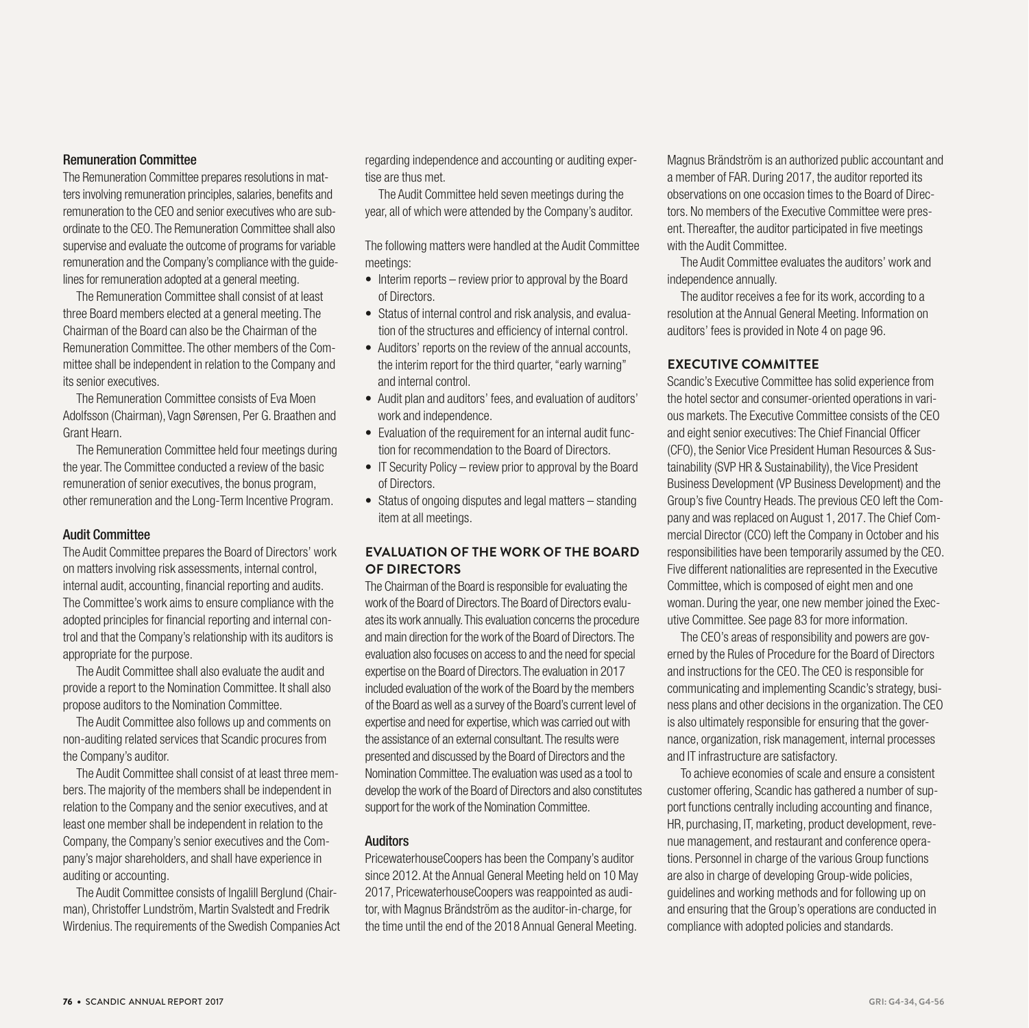# Remuneration Committee

The Remuneration Committee prepares resolutions in matters involving remuneration principles, salaries, benefits and remuneration to the CEO and senior executives who are subordinate to the CEO. The Remuneration Committee shall also supervise and evaluate the outcome of programs for variable remuneration and the Company's compliance with the guidelines for remuneration adopted at a general meeting.

The Remuneration Committee shall consist of at least three Board members elected at a general meeting. The Chairman of the Board can also be the Chairman of the Remuneration Committee. The other members of the Committee shall be independent in relation to the Company and its senior executives.

The Remuneration Committee consists of Eva Moen Adolfsson (Chairman), Vagn Sørensen, Per G. Braathen and Grant Hearn.

The Remuneration Committee held four meetings during the year. The Committee conducted a review of the basic remuneration of senior executives, the bonus program, other remuneration and the Long-Term Incentive Program.

# Audit Committee

The Audit Committee prepares the Board of Directors' work on matters involving risk assessments, internal control, internal audit, accounting, financial reporting and audits. The Committee's work aims to ensure compliance with the adopted principles for financial reporting and internal control and that the Company's relationship with its auditors is appropriate for the purpose.

The Audit Committee shall also evaluate the audit and provide a report to the Nomination Committee. It shall also propose auditors to the Nomination Committee.

The Audit Committee also follows up and comments on non-auditing related services that Scandic procures from the Company's auditor.

The Audit Committee shall consist of at least three members. The majority of the members shall be independent in relation to the Company and the senior executives, and at least one member shall be independent in relation to the Company, the Company's senior executives and the Company's major shareholders, and shall have experience in auditing or accounting.

The Audit Committee consists of Ingalill Berglund (Chairman), Christoffer Lundström, Martin Svalstedt and Fredrik Wirdenius. The requirements of the Swedish Companies Act regarding independence and accounting or auditing expertise are thus met.

The Audit Committee held seven meetings during the year, all of which were attended by the Company's auditor.

The following matters were handled at the Audit Committee meetings:

- Interim reports review prior to approval by the Board of Directors.
- Status of internal control and risk analysis, and evaluation of the structures and efficiency of internal control.
- Auditors' reports on the review of the annual accounts, the interim report for the third quarter, "early warning" and internal control.
- Audit plan and auditors' fees, and evaluation of auditors' work and independence.
- Evaluation of the requirement for an internal audit function for recommendation to the Board of Directors.
- IT Security Policy review prior to approval by the Board of Directors.
- Status of ongoing disputes and legal matters standing item at all meetings.

# **EVALUATION OF THE WORK OF THE BOARD OF DIRECTORS**

The Chairman of the Board is responsible for evaluating the work of the Board of Directors. The Board of Directors evaluates its work annually. This evaluation concerns the procedure and main direction for the work of the Board of Directors. The evaluation also focuses on access to and the need for special expertise on the Board of Directors. The evaluation in 2017 included evaluation of the work of the Board by the members of the Board as well as a survey of the Board's current level of expertise and need for expertise, which was carried out with the assistance of an external consultant. The results were presented and discussed by the Board of Directors and the Nomination Committee. The evaluation was used as a tool to develop the work of the Board of Directors and also constitutes support for the work of the Nomination Committee.

## Auditors

PricewaterhouseCoopers has been the Company's auditor since 2012. At the Annual General Meeting held on 10 May 2017, PricewaterhouseCoopers was reappointed as auditor, with Magnus Brändström as the auditor-in-charge, for the time until the end of the 2018 Annual General Meeting.

Magnus Brändström is an authorized public accountant and a member of FAR. During 2017, the auditor reported its observations on one occasion times to the Board of Directors. No members of the Executive Committee were present. Thereafter, the auditor participated in five meetings with the Audit Committee.

The Audit Committee evaluates the auditors' work and independence annually.

The auditor receives a fee for its work, according to a resolution at the Annual General Meeting. Information on auditors' fees is provided in Note 4 on page 96.

# **EXECUTIVE COMMITTEE**

Scandic's Executive Committee has solid experience from the hotel sector and consumer-oriented operations in various markets. The Executive Committee consists of the CEO and eight senior executives: The Chief Financial Officer (CFO), the Senior Vice President Human Resources & Sustainability (SVP HR & Sustainability), the Vice President Business Development (VP Business Development) and the Group's five Country Heads. The previous CEO left the Company and was replaced on August 1, 2017. The Chief Commercial Director (CCO) left the Company in October and his responsibilities have been temporarily assumed by the CEO. Five different nationalities are represented in the Executive Committee, which is composed of eight men and one woman. During the year, one new member joined the Executive Committee. See page 83 for more information.

The CEO's areas of responsibility and powers are governed by the Rules of Procedure for the Board of Directors and instructions for the CEO. The CEO is responsible for communicating and implementing Scandic's strategy, business plans and other decisions in the organization. The CEO is also ultimately responsible for ensuring that the governance, organization, risk management, internal processes and IT infrastructure are satisfactory.

To achieve economies of scale and ensure a consistent customer offering, Scandic has gathered a number of support functions centrally including accounting and finance, HR, purchasing, IT, marketing, product development, revenue management, and restaurant and conference operations. Personnel in charge of the various Group functions are also in charge of developing Group-wide policies, guidelines and working methods and for following up on and ensuring that the Group's operations are conducted in compliance with adopted policies and standards.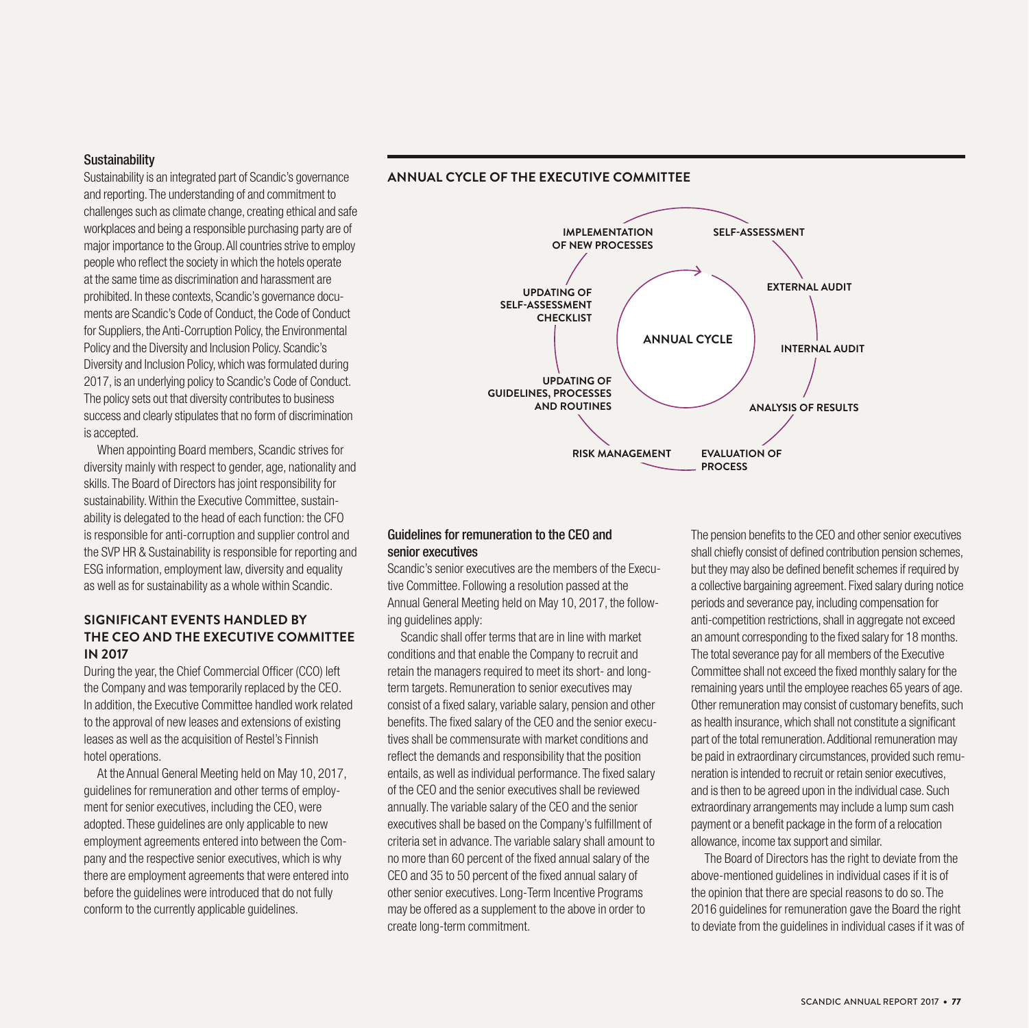# **Sustainability**

Sustainability is an integrated part of Scandic's governance and reporting. The understanding of and commitment to challenges such as climate change, creating ethical and safe workplaces and being a responsible purchasing party are of major importance to the Group. All countries strive to employ people who reflect the society in which the hotels operate at the same time as discrimination and harassment are prohibited. In these contexts, Scandic's governance documents are Scandic's Code of Conduct, the Code of Conduct for Suppliers, the Anti-Corruption Policy, the Environmental Policy and the Diversity and Inclusion Policy. Scandic's Diversity and Inclusion Policy, which was formulated during 2017, is an underlying policy to Scandic's Code of Conduct. The policy sets out that diversity contributes to business success and clearly stipulates that no form of discrimination is accepted.

When appointing Board members, Scandic strives for diversity mainly with respect to gender, age, nationality and skills. The Board of Directors has joint responsibility for sustainability. Within the Executive Committee, sustainability is delegated to the head of each function: the CFO is responsible for anti-corruption and supplier control and the SVP HR & Sustainability is responsible for reporting and ESG information, employment law, diversity and equality as well as for sustainability as a whole within Scandic.

# **SIGNIFICANT EVENTS HANDLED BY THE CEO AND THE EXECUTIVE COMMITTEE IN 2017**

During the year, the Chief Commercial Officer (CCO) left the Company and was temporarily replaced by the CEO. In addition, the Executive Committee handled work related to the approval of new leases and extensions of existing leases as well as the acquisition of Restel's Finnish hotel operations.

At the Annual General Meeting held on May 10, 2017, guidelines for remuneration and other terms of employment for senior executives, including the CEO, were adopted. These guidelines are only applicable to new employment agreements entered into between the Company and the respective senior executives, which is why there are employment agreements that were entered into before the guidelines were introduced that do not fully conform to the currently applicable guidelines.



# Guidelines for remuneration to the CEO and senior executives

Scandic's senior executives are the members of the Executive Committee. Following a resolution passed at the Annual General Meeting held on May 10, 2017, the following guidelines apply:

Scandic shall offer terms that are in line with market conditions and that enable the Company to recruit and retain the managers required to meet its short- and longterm targets. Remuneration to senior executives may consist of a fixed salary, variable salary, pension and other benefits. The fixed salary of the CEO and the senior executives shall be commensurate with market conditions and reflect the demands and responsibility that the position entails, as well as individual performance. The fixed salary of the CEO and the senior executives shall be reviewed annually. The variable salary of the CEO and the senior executives shall be based on the Company's fulfillment of criteria set in advance. The variable salary shall amount to no more than 60 percent of the fixed annual salary of the CEO and 35 to 50 percent of the fixed annual salary of other senior executives. Long-Term Incentive Programs may be offered as a supplement to the above in order to create long-term commitment.

The pension benefits to the CEO and other senior executives shall chiefly consist of defined contribution pension schemes, but they may also be defined benefit schemes if required by a collective bargaining agreement. Fixed salary during notice periods and severance pay, including compensation for anti-competition restrictions, shall in aggregate not exceed an amount corresponding to the fixed salary for 18 months. The total severance pay for all members of the Executive Committee shall not exceed the fixed monthly salary for the remaining years until the employee reaches 65 years of age. Other remuneration may consist of customary benefits, such as health insurance, which shall not constitute a significant part of the total remuneration. Additional remuneration may be paid in extraordinary circumstances, provided such remuneration is intended to recruit or retain senior executives, and is then to be agreed upon in the individual case. Such extraordinary arrangements may include a lump sum cash payment or a benefit package in the form of a relocation allowance, income tax support and similar.

The Board of Directors has the right to deviate from the above-mentioned guidelines in individual cases if it is of the opinion that there are special reasons to do so. The 2016 guidelines for remuneration gave the Board the right to deviate from the guidelines in individual cases if it was of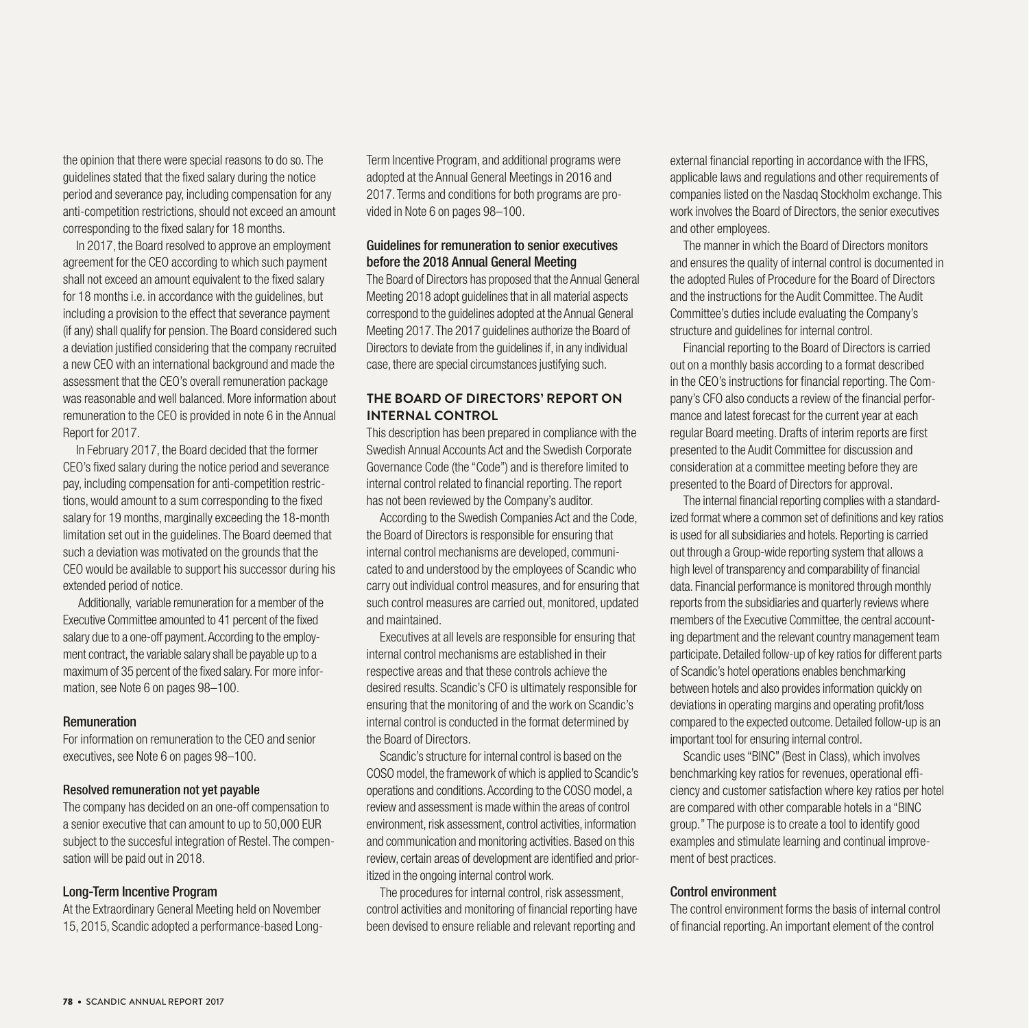the opinion that there were special reasons to do so. The guidelines stated that the fixed salary during the notice period and severance pay, including compensation for any anti-competition restrictions, should not exceed an amount corresponding to the fixed salary for 18 months.

In 2017, the Board resolved to approve an employment agreement for the CEO according to which such payment shall not exceed an amount equivalent to the fixed salary for 18 months i.e. in accordance with the guidelines, but including a provision to the effect that severance payment (if any) shall qualify for pension. The Board considered such a deviation justified considering that the company recruited a new CEO with an international background and made the assessment that the CEO's overall remuneration package was reasonable and well balanced. More information about remuneration to the CEO is provided in note 6 in the Annual Report for 2017.

In February 2017, the Board decided that the former CEO's fixed salary during the notice period and severance pay, including compensation for anti-competition restrictions, would amount to a sum corresponding to the fixed salary for 19 months, marginally exceeding the 18-month limitation set out in the guidelines. The Board deemed that such a deviation was motivated on the grounds that the CEO would be available to support his successor during his extended period of notice.

 Additionally, variable remuneration for a member of the Executive Committee amounted to 41 percent of the fixed salary due to a one-off payment. According to the employment contract, the variable salary shall be payable up to a maximum of 35 percent of the fixed salary. For more information, see Note 6 on pages 98–100.

## Remuneration

For information on remuneration to the CEO and senior executives, see Note 6 on pages 98–100.

# Resolved remuneration not yet payable

The company has decided on an one-off compensation to a senior executive that can amount to up to 50,000 EUR subject to the succesful integration of Restel. The compensation will be paid out in 2018.

# Long-Term Incentive Program

At the Extraordinary General Meeting held on November 15, 2015, Scandic adopted a performance-based LongTerm Incentive Program, and additional programs were adopted at the Annual General Meetings in 2016 and 2017. Terms and conditions for both programs are provided in Note 6 on pages 98–100.

# Guidelines for remuneration to senior executives before the 2018 Annual General Meeting

The Board of Directors has proposed that the Annual General Meeting 2018 adopt guidelines that in all material aspects correspond to the guidelines adopted at the Annual General Meeting 2017. The 2017 guidelines authorize the Board of Directors to deviate from the guidelines if, in any individual case, there are special circumstances justifying such.

# **THE BOARD OF DIRECTORS' REPORT ON INTERNAL CONTROL**

This description has been prepared in compliance with the Swedish Annual Accounts Act and the Swedish Corporate Governance Code (the "Code") and is therefore limited to internal control related to financial reporting. The report has not been reviewed by the Company's auditor.

According to the Swedish Companies Act and the Code, the Board of Directors is responsible for ensuring that internal control mechanisms are developed, communicated to and understood by the employees of Scandic who carry out individual control measures, and for ensuring that such control measures are carried out, monitored, updated and maintained.

Executives at all levels are responsible for ensuring that internal control mechanisms are established in their respective areas and that these controls achieve the desired results. Scandic's CFO is ultimately responsible for ensuring that the monitoring of and the work on Scandic's internal control is conducted in the format determined by the Board of Directors.

Scandic's structure for internal control is based on the COSO model, the framework of which is applied to Scandic's operations and conditions. According to the COSO model, a review and assessment is made within the areas of control environment, risk assessment, control activities, information and communication and monitoring activities. Based on this review, certain areas of development are identified and prioritized in the ongoing internal control work.

The procedures for internal control, risk assessment, control activities and monitoring of financial reporting have been devised to ensure reliable and relevant reporting and

external financial reporting in accordance with the IFRS, applicable laws and regulations and other requirements of companies listed on the Nasdaq Stockholm exchange. This work involves the Board of Directors, the senior executives and other employees.

The manner in which the Board of Directors monitors and ensures the quality of internal control is documented in the adopted Rules of Procedure for the Board of Directors and the instructions for the Audit Committee. The Audit Committee's duties include evaluating the Company's structure and guidelines for internal control.

Financial reporting to the Board of Directors is carried out on a monthly basis according to a format described in the CEO's instructions for financial reporting. The Company's CFO also conducts a review of the financial performance and latest forecast for the current year at each regular Board meeting. Drafts of interim reports are first presented to the Audit Committee for discussion and consideration at a committee meeting before they are presented to the Board of Directors for approval.

The internal financial reporting complies with a standardized format where a common set of definitions and key ratios is used for all subsidiaries and hotels. Reporting is carried out through a Group-wide reporting system that allows a high level of transparency and comparability of financial data. Financial performance is monitored through monthly reports from the subsidiaries and quarterly reviews where members of the Executive Committee, the central accounting department and the relevant country management team participate. Detailed follow-up of key ratios for different parts of Scandic's hotel operations enables benchmarking between hotels and also provides information quickly on deviations in operating margins and operating profit/loss compared to the expected outcome. Detailed follow-up is an important tool for ensuring internal control.

Scandic uses "BINC" (Best in Class), which involves benchmarking key ratios for revenues, operational efficiency and customer satisfaction where key ratios per hotel are compared with other comparable hotels in a "BINC group." The purpose is to create a tool to identify good examples and stimulate learning and continual improvement of best practices.

## Control environment

The control environment forms the basis of internal control of financial reporting. An important element of the control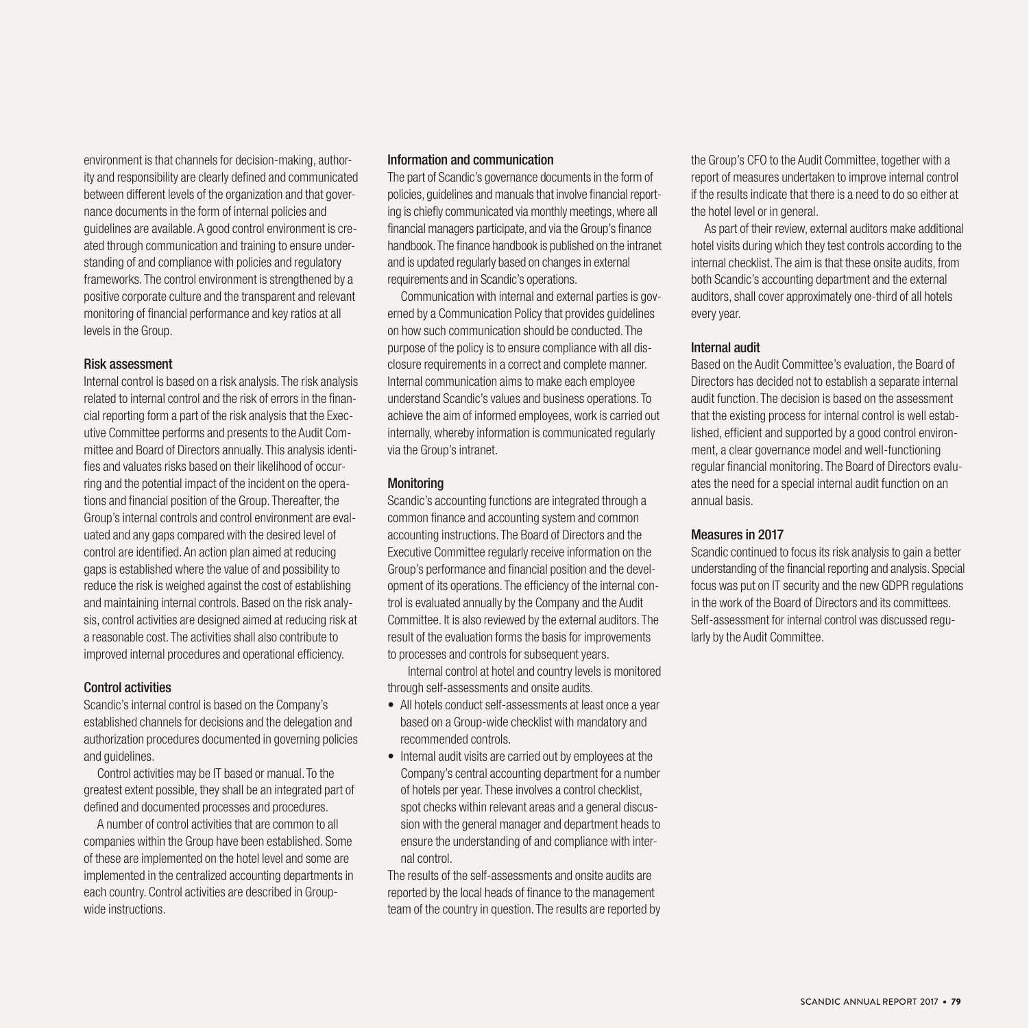environment is that channels for decision-making, authority and responsibility are clearly defined and communicated between different levels of the organization and that governance documents in the form of internal policies and guidelines are available. A good control environment is created through communication and training to ensure understanding of and compliance with policies and regulatory frameworks. The control environment is strengthened by a positive corporate culture and the transparent and relevant monitoring of financial performance and key ratios at all levels in the Group.

# Risk assessment

Internal control is based on a risk analysis. The risk analysis related to internal control and the risk of errors in the financial reporting form a part of the risk analysis that the Executive Committee performs and presents to the Audit Committee and Board of Directors annually. This analysis identifies and valuates risks based on their likelihood of occurring and the potential impact of the incident on the operations and financial position of the Group. Thereafter, the Group's internal controls and control environment are evaluated and any gaps compared with the desired level of control are identified. An action plan aimed at reducing gaps is established where the value of and possibility to reduce the risk is weighed against the cost of establishing and maintaining internal controls. Based on the risk analysis, control activities are designed aimed at reducing risk at a reasonable cost. The activities shall also contribute to improved internal procedures and operational efficiency.

## Control activities

Scandic's internal control is based on the Company's established channels for decisions and the delegation and authorization procedures documented in governing policies and guidelines.

Control activities may be IT based or manual. To the greatest extent possible, they shall be an integrated part of defined and documented processes and procedures.

A number of control activities that are common to all companies within the Group have been established. Some of these are implemented on the hotel level and some are implemented in the centralized accounting departments in each country. Control activities are described in Groupwide instructions.

## Information and communication

The part of Scandic's governance documents in the form of policies, guidelines and manuals that involve financial reporting is chiefly communicated via monthly meetings, where all financial managers participate, and via the Group's finance handbook. The finance handbook is published on the intranet and is updated regularly based on changes in external requirements and in Scandic's operations.

Communication with internal and external parties is governed by a Communication Policy that provides guidelines on how such communication should be conducted. The purpose of the policy is to ensure compliance with all disclosure requirements in a correct and complete manner. Internal communication aims to make each employee understand Scandic's values and business operations. To achieve the aim of informed employees, work is carried out internally, whereby information is communicated regularly via the Group's intranet.

# **Monitoring**

Scandic's accounting functions are integrated through a common finance and accounting system and common accounting instructions. The Board of Directors and the Executive Committee regularly receive information on the Group's performance and financial position and the development of its operations. The efficiency of the internal control is evaluated annually by the Company and the Audit Committee. It is also reviewed by the external auditors. The result of the evaluation forms the basis for improvements to processes and controls for subsequent years.

 Internal control at hotel and country levels is monitored through self-assessments and onsite audits.

- All hotels conduct self-assessments at least once a year based on a Group-wide checklist with mandatory and recommended controls.
- Internal audit visits are carried out by employees at the Company's central accounting department for a number of hotels per year. These involves a control checklist, spot checks within relevant areas and a general discussion with the general manager and department heads to ensure the understanding of and compliance with internal control.

The results of the self-assessments and onsite audits are reported by the local heads of finance to the management team of the country in question. The results are reported by

the Group's CFO to the Audit Committee, together with a report of measures undertaken to improve internal control if the results indicate that there is a need to do so either at the hotel level or in general.

As part of their review, external auditors make additional hotel visits during which they test controls according to the internal checklist. The aim is that these onsite audits, from both Scandic's accounting department and the external auditors, shall cover approximately one-third of all hotels every year.

## Internal audit

Based on the Audit Committee's evaluation, the Board of Directors has decided not to establish a separate internal audit function. The decision is based on the assessment that the existing process for internal control is well established, efficient and supported by a good control environment, a clear governance model and well-functioning regular financial monitoring. The Board of Directors evaluates the need for a special internal audit function on an annual basis.

## Measures in 2017

Scandic continued to focus its risk analysis to gain a better understanding of the financial reporting and analysis. Special focus was put on IT security and the new GDPR regulations in the work of the Board of Directors and its committees. Self-assessment for internal control was discussed regularly by the Audit Committee.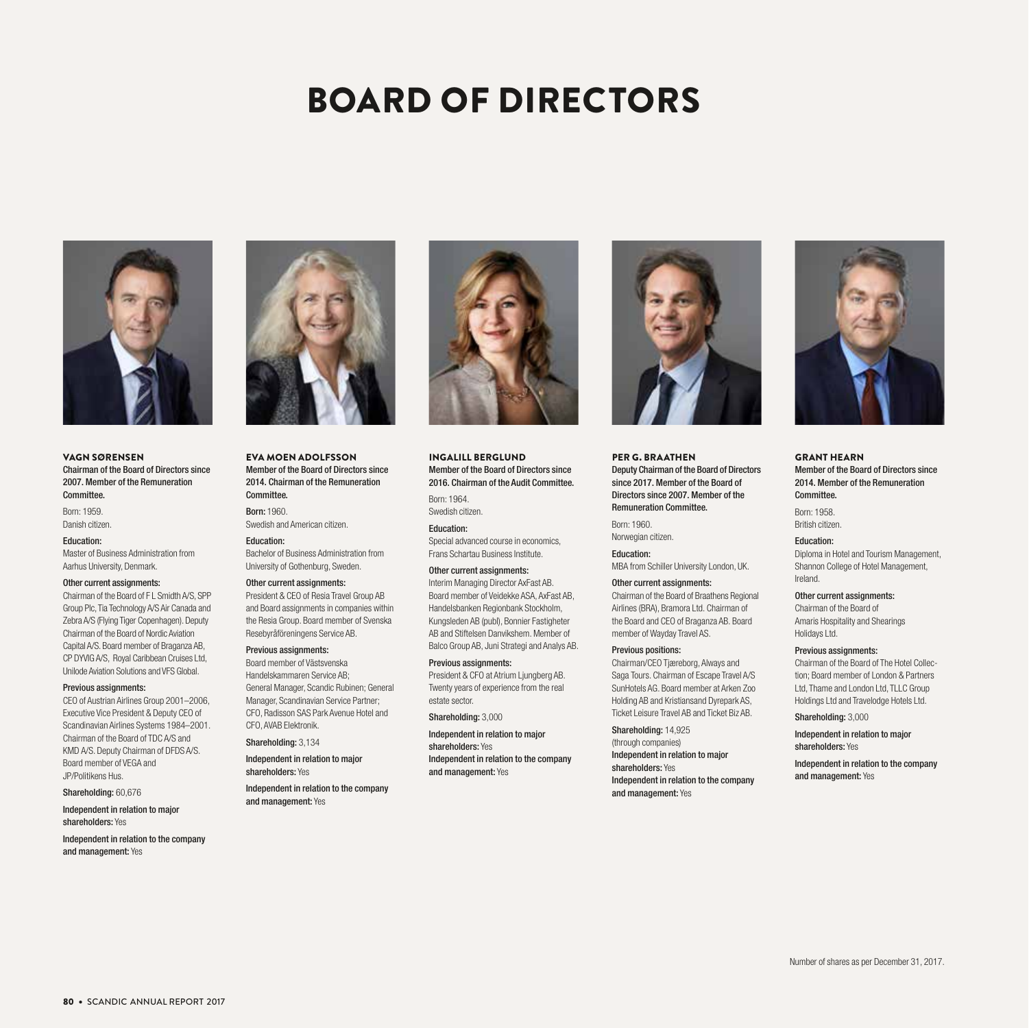# BOARD OF DIRECTORS



VAGN SØRENSEN Chairman of the Board of Directors since 2007. Member of the Remuneration Committee.

Born: 1959. Danish citizen.

#### Education:

Master of Business Administration from Aarhus University, Denmark.

#### Other current assignments:

Chairman of the Board of F L Smidth A/S, SPP Group Plc, Tia Technology A/S Air Canada and Zebra A/S (Flying Tiger Copenhagen). Deputy Chairman of the Board of Nordic Aviation Capital A/S. Board member of Braganza AB, CP DYVIG A/S, Royal Caribbean Cruises Ltd, Unilode Aviation Solutions and VFS Global.

#### Previous assignments:

CEO of Austrian Airlines Group 2001–2006, Executive Vice President & Deputy CEO of Scandinavian Airlines Systems 1984–2001. Chairman of the Board of TDC A/S and KMD A/S. Deputy Chairman of DFDS A/S. Board member of VEGA and JP/Politikens Hus.

Shareholding: 60,676

Independent in relation to major shareholders: Yes

Independent in relation to the company and management: Yes



EVA MOEN ADOLFSSON Member of the Board of Directors since 2014. Chairman of the Remuneration Committee.

Born: 1960. Swedish and American citizen.

Education: Bachelor of Business Administration from University of Gothenburg, Sweden.

#### Other current assignments:

President & CEO of Resia Travel Group AB and Board assignments in companies within the Resia Group. Board member of Svenska Resebyråföreningens Service AB.

#### Previous assignments:

Board member of Västsvenska Handelskammaren Service AB; General Manager, Scandic Rubinen; General Manager, Scandinavian Service Partner; CFO, Radisson SAS Park Avenue Hotel and CFO, AVAB Elektronik.

Shareholding: 3,134

Independent in relation to major shareholders: Yes

Independent in relation to the company and management: Yes



INGALILL BERGLUND Member of the Board of Directors since 2016. Chairman of the Audit Committee.

Born: 1964. Swedish citizen.

Education: Special advanced course in economics, Frans Schartau Business Institute.

## Other current assignments:

Interim Managing Director AxFast AB. Board member of Veidekke ASA, AxFast AB, Handelsbanken Regionbank Stockholm, Kungsleden AB (publ), Bonnier Fastigheter AB and Stiftelsen Danvikshem. Member of Balco Group AB, Juni Strategi and Analys AB.

#### Previous assignments:

President & CFO at Atrium Ljungberg AB. Twenty years of experience from the real estate sector.

Shareholding: 3,000

Independent in relation to major shareholders: Yes Independent in relation to the company and management: Yes



PER G. BRAATHEN Deputy Chairman of the Board of Directors since 2017. Member of the Board of Directors since 2007. Member of the Remuneration Committee.

Born: 1960. Norwegian citizen.

Education: MBA from Schiller University London, UK.

#### Other current assignments:

Chairman of the Board of Braathens Regional Airlines (BRA), Bramora Ltd. Chairman of the Board and CEO of Braganza AB. Board member of Wayday Travel AS.

#### Previous positions:

Chairman/CEO Tjæreborg, Always and Saga Tours. Chairman of Escape Travel A/S SunHotels AG. Board member at Arken Zoo Holding AB and Kristiansand Dyrepark AS, Ticket Leisure Travel AB and Ticket Biz AB.

Shareholding: 14,925 (through companies) Independent in relation to major shareholders: Yes Independent in relation to the company and management: Yes



GRANT HEARN Member of the Board of Directors since 2014. Member of the Remuneration Committee.

Born: 1958. British citizen.

Education: Diploma in Hotel and Tourism Management, Shannon College of Hotel Management, Ireland.

Other current assignments: Chairman of the Board of Amaris Hospitality and Shearings

#### Previous assignments:

Holidays Ltd.

Chairman of the Board of The Hotel Collection; Board member of London & Partners Ltd, Thame and London Ltd, TLLC Group Holdings Ltd and Travelodge Hotels Ltd.

Shareholding: 3,000

Independent in relation to major shareholders: Yes

Independent in relation to the company and management: Yes

80 • SCANDIC ANNUAL REPORT 2017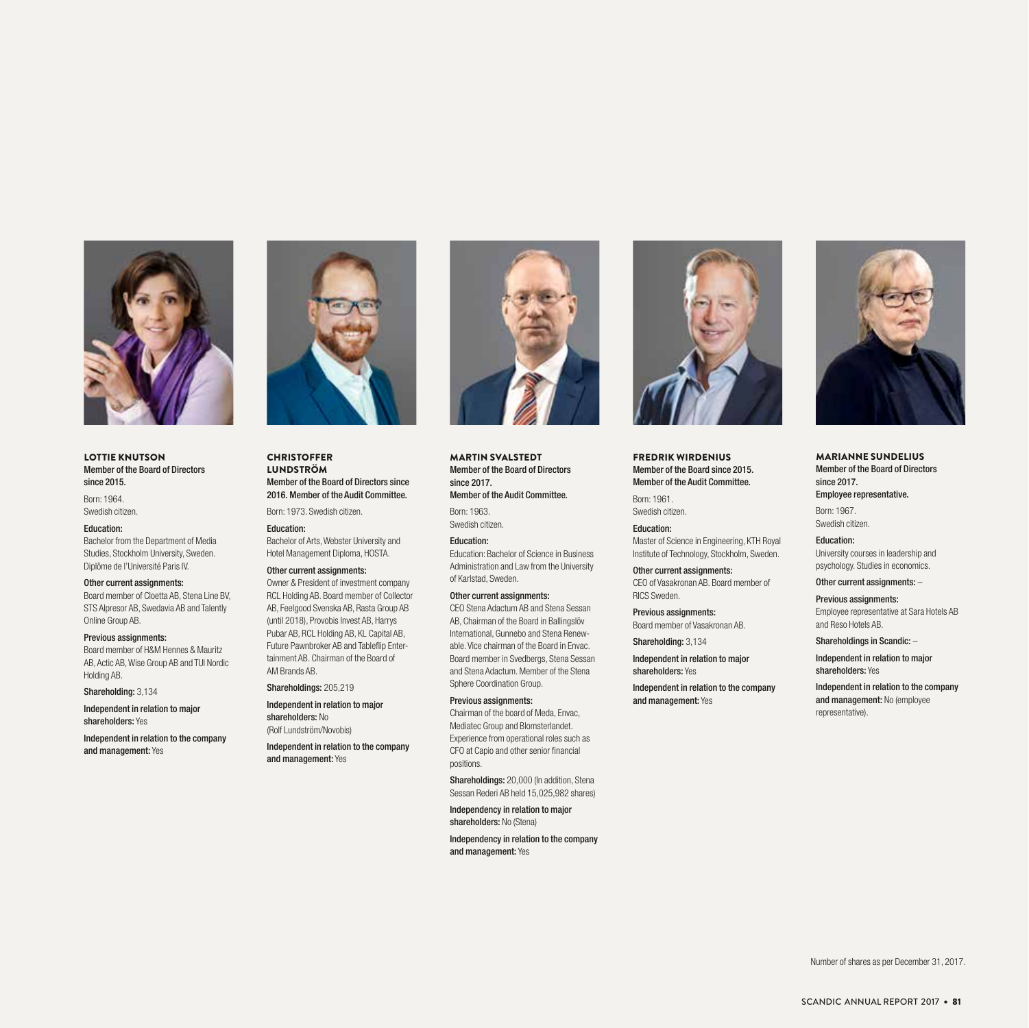

#### LOTTIE KNUTSON Member of the Board of Directors since 2015.

Born: 1964. Swedish citizen.

#### Education:

Bachelor from the Department of Media Studies, Stockholm University, Sweden. Diplôme de l'Université Paris IV.

#### Other current assignments:

Board member of Cloetta AB, Stena Line BV, STS Alpresor AB, Swedavia AB and Talently Online Group AB.

#### Previous assignments:

Board member of H&M Hennes & Mauritz AB, Actic AB, Wise Group AB and TUI Nordic Holding AB.

Shareholding: 3,134

Independent in relation to major shareholders: Yes

Independent in relation to the company and management: Yes



### **CHRISTOFFER** LUNDSTRÖM Member of the Board of Directors since 2016. Member of the Audit Committee.

Born: 1973. Swedish citizen. Education:

Bachelor of Arts, Webster University and Hotel Management Diploma, HOSTA.

#### Other current assignments: Owner & President of investment company RCL Holding AB. Board member of Collector AB, Feelgood Svenska AB, Rasta Group AB

(until 2018), Provobis Invest AB, Harrys Pubar AB, RCL Holding AB, KL Capital AB, Future Pawnbroker AB and Tableflip Entertainment AB. Chairman of the Board of AM Brands AB.

Shareholdings: 205,219 Independent in relation to major shareholders: No (Rolf Lundström/Novobis)

Independent in relation to the company and management: Yes



MARTIN SVALSTEDT Member of the Board of Directors since 2017. Member of the Audit Committee.

Born: 1963.

Swedish citizen.

Education: Education: Bachelor of Science in Business Administration and Law from the University of Karlstad, Sweden.

#### Other current assignments:

CEO Stena Adactum AB and Stena Sessan AB, Chairman of the Board in Ballingslöv International, Gunnebo and Stena Renewable. Vice chairman of the Board in Envac. Board member in Svedbergs, Stena Sessan and Stena Adactum. Member of the Stena Sphere Coordination Group.

#### Previous assignments:

Chairman of the board of Meda, Envac, Mediatec Group and Blomsterlandet. Experience from operational roles such as CFO at Capio and other senior financial positions.

Shareholdings: 20,000 (In addition, Stena Sessan Rederi AB held 15,025,982 shares)

Independency in relation to major shareholders: No (Stena)

Independency in relation to the company and management: Yes



FREDRIK WIRDENIUS Member of the Board since 2015. Member of the Audit Committee.

Born: 1961. Swedish citizen.

Education:

Master of Science in Engineering, KTH Royal Institute of Technology, Stockholm, Sweden.

Other current assignments: CEO of Vasakronan AB. Board member of RICS Sweden.

Previous assignments: Board member of Vasakronan AB.

Shareholding: 3,134

Independent in relation to major shareholders: Yes

Independent in relation to the company and management: Yes



MARIANNE SUNDELIUS Member of the Board of Directors since 2017. Employee representative.

Born: 1967. Swedish citizen.

Education: University courses in leadership and psychology. Studies in economics.

Other current assignments: –

Previous assignments: Employee representative at Sara Hotels AB and Reso Hotels AB.

Shareholdings in Scandic: –

Independent in relation to major shareholders: Yes

Independent in relation to the company and management: No (employee representative).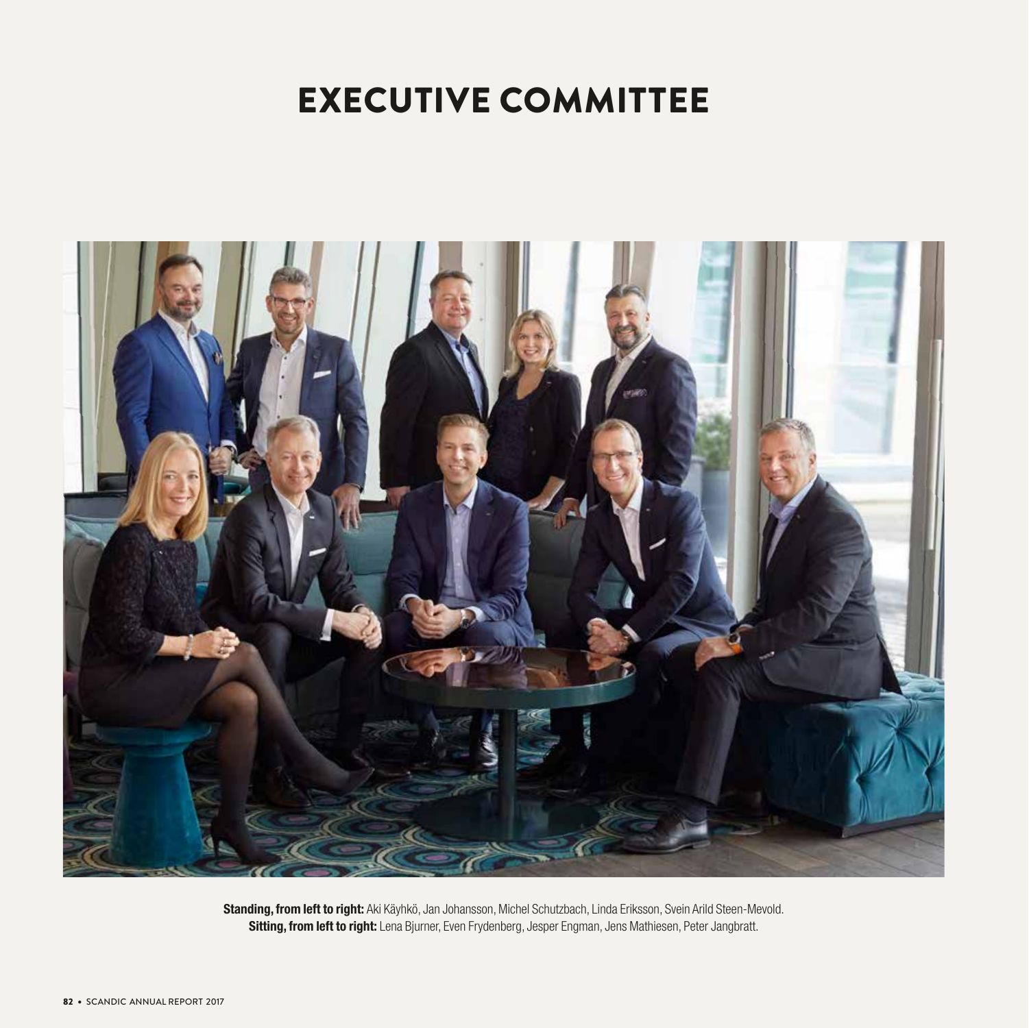# EXECUTIVE COMMITTEE



Standing, from left to right: Aki Käyhkö, Jan Johansson, Michel Schutzbach, Linda Eriksson, Svein Arild Steen-Mevold. Sitting, from left to right: Lena Bjurner, Even Frydenberg, Jesper Engman, Jens Mathiesen, Peter Jangbratt.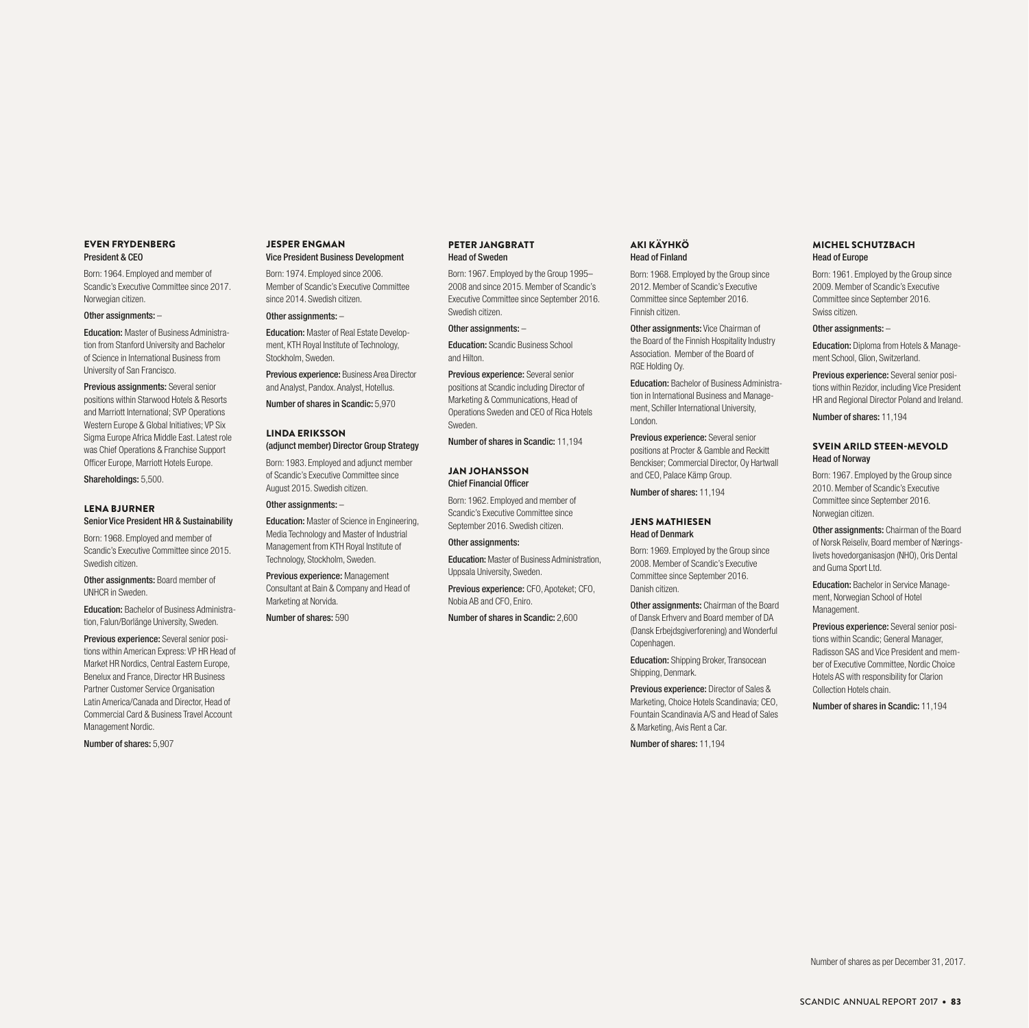#### EVEN FRYDENBERG President & CEO

Born: 1964. Employed and member of Scandic's Executive Committee since 2017. Norwegian citizen.

#### Other assignments: –

Education: Master of Business Administration from Stanford University and Bachelor of Science in International Business from University of San Francisco.

Previous assignments: Several senior positions within Starwood Hotels & Resorts and Marriott International; SVP Operations Western Europe & Global Initiatives; VP Six Sigma Europe Africa Middle East. Latest role was Chief Operations & Franchise Support Officer Europe, Marriott Hotels Europe.

Shareholdings: 5,500.

#### LENA BJURNER Senior Vice President HR & Sustainability

Born: 1968. Employed and member of Scandic's Executive Committee since 2015. Swedish citizen.

Other assignments: Board member of UNHCR in Sweden.

Education: Bachelor of Business Administration, Falun/Borlänge University, Sweden.

Previous experience: Several senior positions within American Express: VP HR Head of Market HR Nordics, Central Eastern Europe Benelux and France, Director HR Business Partner Customer Service Organisation Latin America/Canada and Director, Head of Commercial Card & Business Travel Account Management Nordic.

Number of shares: 5,907

#### JESPER ENGMAN Vice President Business Development

Born: 1974. Employed since 2006. Member of Scandic's Executive Committee since 2014. Swedish citizen.

#### Other assignments: –

Education: Master of Real Estate Development, KTH Royal Institute of Technology, Stockholm, Sweden.

Previous experience: Business Area Director and Analyst, Pandox. Analyst, Hotellus.

Number of shares in Scandic: 5,970

#### LINDA ERIKSSON (adjunct member) Director Group Strategy

Born: 1983. Employed and adjunct member of Scandic's Executive Committee since August 2015. Swedish citizen.

## Other assignments: -

Education: Master of Science in Engineering, Media Technology and Master of Industrial Management from KTH Royal Institute of Technology, Stockholm, Sweden.

Previous experience: Management Consultant at Bain & Company and Head of Marketing at Norvida.

Number of shares: 590

#### PETER JANGBRATT Head of Sweden

Born: 1967. Employed by the Group 1995– 2008 and since 2015. Member of Scandic's Executive Committee since September 2016. Swedish citizen.

#### Other assignments: –

Education: Scandic Business School and Hilton.

Previous experience: Several senior positions at Scandic including Director of Marketing & Communications, Head of Operations Sweden and CEO of Rica Hotels Sweden.

Number of shares in Scandic: 11,194

#### JAN JOHANSSON Chief Financial Officer

Born: 1962. Employed and member of Scandic's Executive Committee since September 2016. Swedish citizen.

Other assignments:

Education: Master of Business Administration, Uppsala University, Sweden.

Previous experience: CFO, Apoteket; CFO, Nobia AB and CFO, Eniro.

Number of shares in Scandic: 2,600

#### AKI KÄYHKÖ Head of Finland

Born: 1968. Employed by the Group since 2012. Member of Scandic's Executive Committee since September 2016. Finnish citizen.

Other assignments: Vice Chairman of the Board of the Finnish Hospitality Industry Association. Member of the Board of RGE Holding Oy.

Education: Bachelor of Business Administration in International Business and Management, Schiller International University, London.

Previous experience: Several senior positions at Procter & Gamble and Reckitt Benckiser; Commercial Director, Oy Hartwall and CEO, Palace Kämp Group.

Number of shares: 11,194

#### JENS MATHIESEN Head of Denmark

Born: 1969. Employed by the Group since 2008. Member of Scandic's Executive Committee since September 2016. Danish citizen.

Other assignments: Chairman of the Board of Dansk Erhverv and Board member of DA (Dansk Erbejdsgiverforening) and Wonderful Copenhagen.

**Education:** Shipping Broker, Transocean Shipping, Denmark.

Previous experience: Director of Sales & Marketing, Choice Hotels Scandinavia; CEO, Fountain Scandinavia A/S and Head of Sales & Marketing, Avis Rent a Car.

Number of shares: 11,194

#### MICHEL SCHUTZBACH Head of Europe

Born: 1961. Employed by the Group since 2009. Member of Scandic's Executive Committee since September 2016. Swiss citizen.

#### Other assignments: –

Education: Diploma from Hotels & Management School, Glion, Switzerland.

Previous experience: Several senior positions within Rezidor, including Vice President HR and Regional Director Poland and Ireland.

Number of shares: 11,194

### SVEIN ARILD STEEN-MEVOLD Head of Norway

Born: 1967. Employed by the Group since 2010. Member of Scandic's Executive Committee since September 2016. Norwegian citizen.

Other assignments: Chairman of the Board of Norsk Reiseliv, Board member of Næringslivets hovedorganisasjon (NHO), Oris Dental and Guma Sport Ltd.

Education: Bachelor in Service Management, Norwegian School of Hotel Management.

Previous experience: Several senior positions within Scandic; General Manager, Radisson SAS and Vice President and member of Executive Committee, Nordic Choice Hotels AS with responsibility for Clarion Collection Hotels chain.

Number of shares in Scandic: 11,194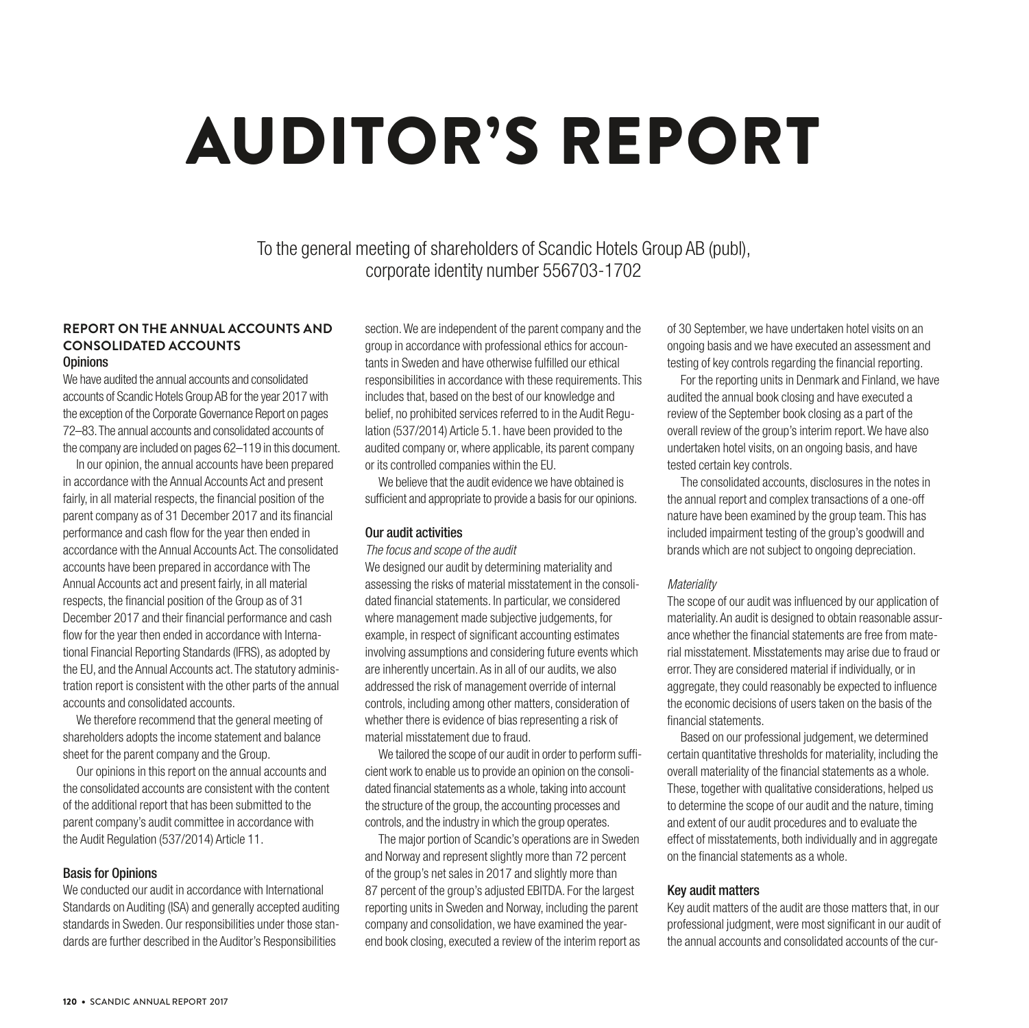# AUDITOR'S REPORT

To the general meeting of shareholders of Scandic Hotels Group AB (publ), corporate identity number 556703-1702

# **REPORT ON THE ANNUAL ACCOUNTS AND CONSOLIDATED ACCOUNTS Opinions**

We have audited the annual accounts and consolidated accounts of Scandic Hotels Group AB for the year 2017 with the exception of the Corporate Governance Report on pages 72–83. The annual accounts and consolidated accounts of the company are included on pages 62–119 in this document.

In our opinion, the annual accounts have been prepared in accordance with the Annual Accounts Act and present fairly, in all material respects, the financial position of the parent company as of 31 December 2017 and its financial performance and cash flow for the year then ended in accordance with the Annual Accounts Act. The consolidated accounts have been prepared in accordance with The Annual Accounts act and present fairly, in all material respects, the financial position of the Group as of 31 December 2017 and their financial performance and cash flow for the year then ended in accordance with International Financial Reporting Standards (IFRS), as adopted by the EU, and the Annual Accounts act. The statutory administration report is consistent with the other parts of the annual accounts and consolidated accounts.

We therefore recommend that the general meeting of shareholders adopts the income statement and balance sheet for the parent company and the Group.

Our opinions in this report on the annual accounts and the consolidated accounts are consistent with the content of the additional report that has been submitted to the parent company's audit committee in accordance with the Audit Regulation (537/2014) Article 11.

# Basis for Opinions

We conducted our audit in accordance with International Standards on Auditing (ISA) and generally accepted auditing standards in Sweden. Our responsibilities under those standards are further described in the Auditor's Responsibilities

section. We are independent of the parent company and the group in accordance with professional ethics for accountants in Sweden and have otherwise fulfilled our ethical responsibilities in accordance with these requirements. This includes that, based on the best of our knowledge and belief, no prohibited services referred to in the Audit Regulation (537/2014) Article 5.1. have been provided to the audited company or, where applicable, its parent company or its controlled companies within the EU.

We believe that the audit evidence we have obtained is sufficient and appropriate to provide a basis for our opinions.

# Our audit activities

## *The focus and scope of the audit*

We designed our audit by determining materiality and assessing the risks of material misstatement in the consolidated financial statements. In particular, we considered where management made subjective judgements, for example, in respect of significant accounting estimates involving assumptions and considering future events which are inherently uncertain. As in all of our audits, we also addressed the risk of management override of internal controls, including among other matters, consideration of whether there is evidence of bias representing a risk of material misstatement due to fraud.

We tailored the scope of our audit in order to perform sufficient work to enable us to provide an opinion on the consolidated financial statements as a whole, taking into account the structure of the group, the accounting processes and controls, and the industry in which the group operates.

The major portion of Scandic's operations are in Sweden and Norway and represent slightly more than 72 percent of the group's net sales in 2017 and slightly more than 87 percent of the group's adjusted EBITDA. For the largest reporting units in Sweden and Norway, including the parent company and consolidation, we have examined the yearend book closing, executed a review of the interim report as of 30 September, we have undertaken hotel visits on an ongoing basis and we have executed an assessment and testing of key controls regarding the financial reporting.

For the reporting units in Denmark and Finland, we have audited the annual book closing and have executed a review of the September book closing as a part of the overall review of the group's interim report. We have also undertaken hotel visits, on an ongoing basis, and have tested certain key controls.

The consolidated accounts, disclosures in the notes in the annual report and complex transactions of a one-off nature have been examined by the group team. This has included impairment testing of the group's goodwill and brands which are not subject to ongoing depreciation.

# *Materiality*

The scope of our audit was influenced by our application of materiality. An audit is designed to obtain reasonable assurance whether the financial statements are free from material misstatement. Misstatements may arise due to fraud or error. They are considered material if individually, or in aggregate, they could reasonably be expected to influence the economic decisions of users taken on the basis of the financial statements.

Based on our professional judgement, we determined certain quantitative thresholds for materiality, including the overall materiality of the financial statements as a whole. These, together with qualitative considerations, helped us to determine the scope of our audit and the nature, timing and extent of our audit procedures and to evaluate the effect of misstatements, both individually and in aggregate on the financial statements as a whole.

# Key audit matters

Key audit matters of the audit are those matters that, in our professional judgment, were most significant in our audit of the annual accounts and consolidated accounts of the cur-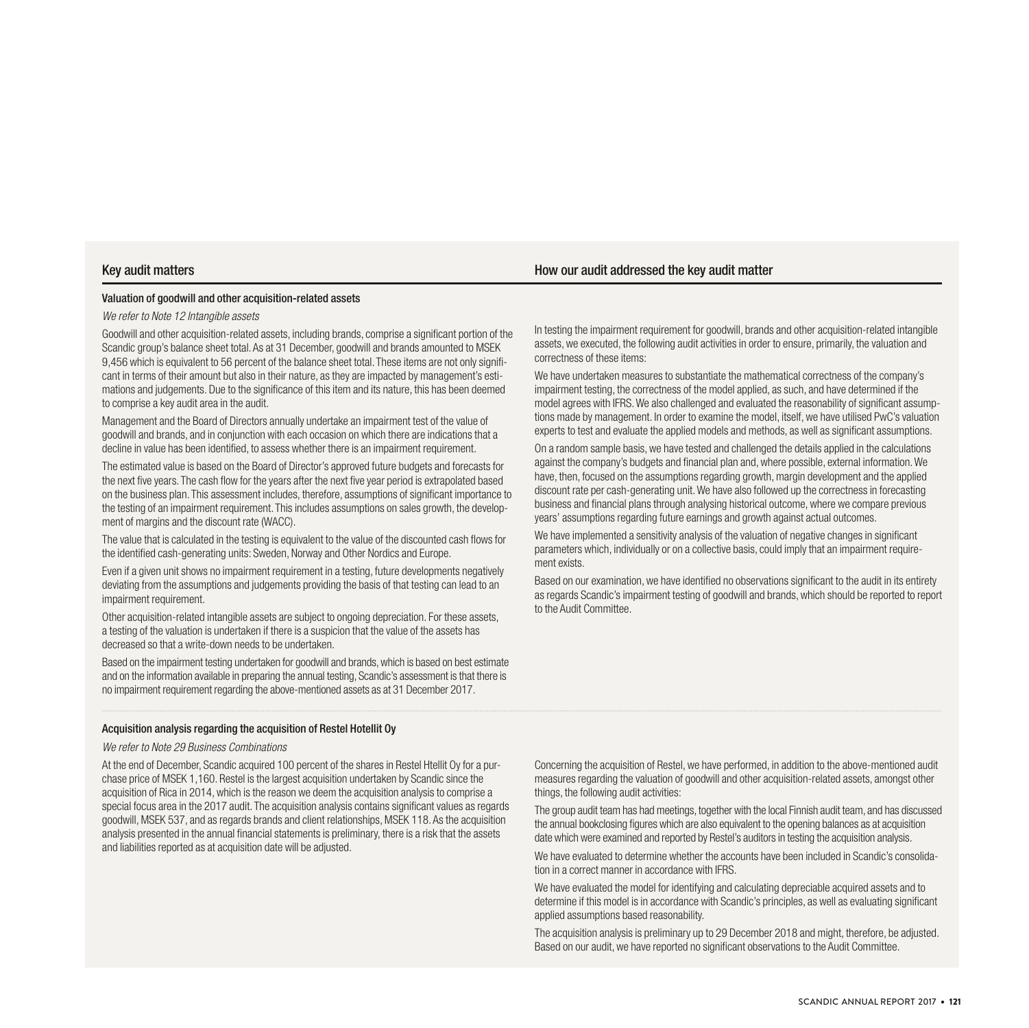#### Key audit matters How our audit addressed the key audit matter

#### Valuation of goodwill and other acquisition-related assets

#### *We refer to Note 12 Intangible assets*

Goodwill and other acquisition-related assets, including brands, comprise a significant portion of the Scandic group's balance sheet total. As at 31 December, goodwill and brands amounted to MSEK 9,456 which is equivalent to 56 percent of the balance sheet total. These items are not only significant in terms of their amount but also in their nature, as they are impacted by management's estimations and judgements. Due to the significance of this item and its nature, this has been deemed to comprise a key audit area in the audit.

Management and the Board of Directors annually undertake an impairment test of the value of goodwill and brands, and in conjunction with each occasion on which there are indications that a decline in value has been identified, to assess whether there is an impairment requirement.

The estimated value is based on the Board of Director's approved future budgets and forecasts for the next five years. The cash flow for the years after the next five year period is extrapolated based on the business plan. This assessment includes, therefore, assumptions of significant importance to the testing of an impairment requirement. This includes assumptions on sales growth, the development of margins and the discount rate (WACC).

The value that is calculated in the testing is equivalent to the value of the discounted cash flows for the identified cash-generating units: Sweden, Norway and Other Nordics and Europe.

Even if a given unit shows no impairment requirement in a testing, future developments negatively deviating from the assumptions and judgements providing the basis of that testing can lead to an impairment requirement.

Other acquisition-related intangible assets are subject to ongoing depreciation. For these assets, a testing of the valuation is undertaken if there is a suspicion that the value of the assets has decreased so that a write-down needs to be undertaken.

Based on the impairment testing undertaken for goodwill and brands, which is based on best estimate and on the information available in preparing the annual testing, Scandic's assessment is that there is no impairment requirement regarding the above-mentioned assets as at 31 December 2017.

#### Acquisition analysis regarding the acquisition of Restel Hotellit Oy

#### *We refer to Note 29 Business Combinations*

At the end of December, Scandic acquired 100 percent of the shares in Restel Htellit Oy for a purchase price of MSEK 1,160. Restel is the largest acquisition undertaken by Scandic since the acquisition of Rica in 2014, which is the reason we deem the acquisition analysis to comprise a special focus area in the 2017 audit. The acquisition analysis contains significant values as regards goodwill, MSEK 537, and as regards brands and client relationships, MSEK 118. As the acquisition analysis presented in the annual financial statements is preliminary, there is a risk that the assets and liabilities reported as at acquisition date will be adjusted.

In testing the impairment requirement for goodwill, brands and other acquisition-related intangible assets, we executed, the following audit activities in order to ensure, primarily, the valuation and correctness of these items:

We have undertaken measures to substantiate the mathematical correctness of the company's impairment testing, the correctness of the model applied, as such, and have determined if the model agrees with IFRS. We also challenged and evaluated the reasonability of significant assumptions made by management. In order to examine the model, itself, we have utilised PwC's valuation experts to test and evaluate the applied models and methods, as well as significant assumptions.

On a random sample basis, we have tested and challenged the details applied in the calculations against the company's budgets and financial plan and, where possible, external information. We have, then, focused on the assumptions regarding growth, margin development and the applied discount rate per cash-generating unit. We have also followed up the correctness in forecasting business and financial plans through analysing historical outcome, where we compare previous years' assumptions regarding future earnings and growth against actual outcomes.

We have implemented a sensitivity analysis of the valuation of negative changes in significant parameters which, individually or on a collective basis, could imply that an impairment requirement exists.

Based on our examination, we have identified no observations significant to the audit in its entirety as regards Scandic's impairment testing of goodwill and brands, which should be reported to report to the Audit Committee.

Concerning the acquisition of Restel, we have performed, in addition to the above-mentioned audit measures regarding the valuation of goodwill and other acquisition-related assets, amongst other things, the following audit activities:

The group audit team has had meetings, together with the local Finnish audit team, and has discussed the annual bookclosing figures which are also equivalent to the opening balances as at acquisition date which were examined and reported by Restel's auditors in testing the acquisition analysis.

We have evaluated to determine whether the accounts have been included in Scandic's consolidation in a correct manner in accordance with IFRS.

We have evaluated the model for identifying and calculating depreciable acquired assets and to determine if this model is in accordance with Scandic's principles, as well as evaluating significant applied assumptions based reasonability.

The acquisition analysis is preliminary up to 29 December 2018 and might, therefore, be adjusted. Based on our audit, we have reported no significant observations to the Audit Committee.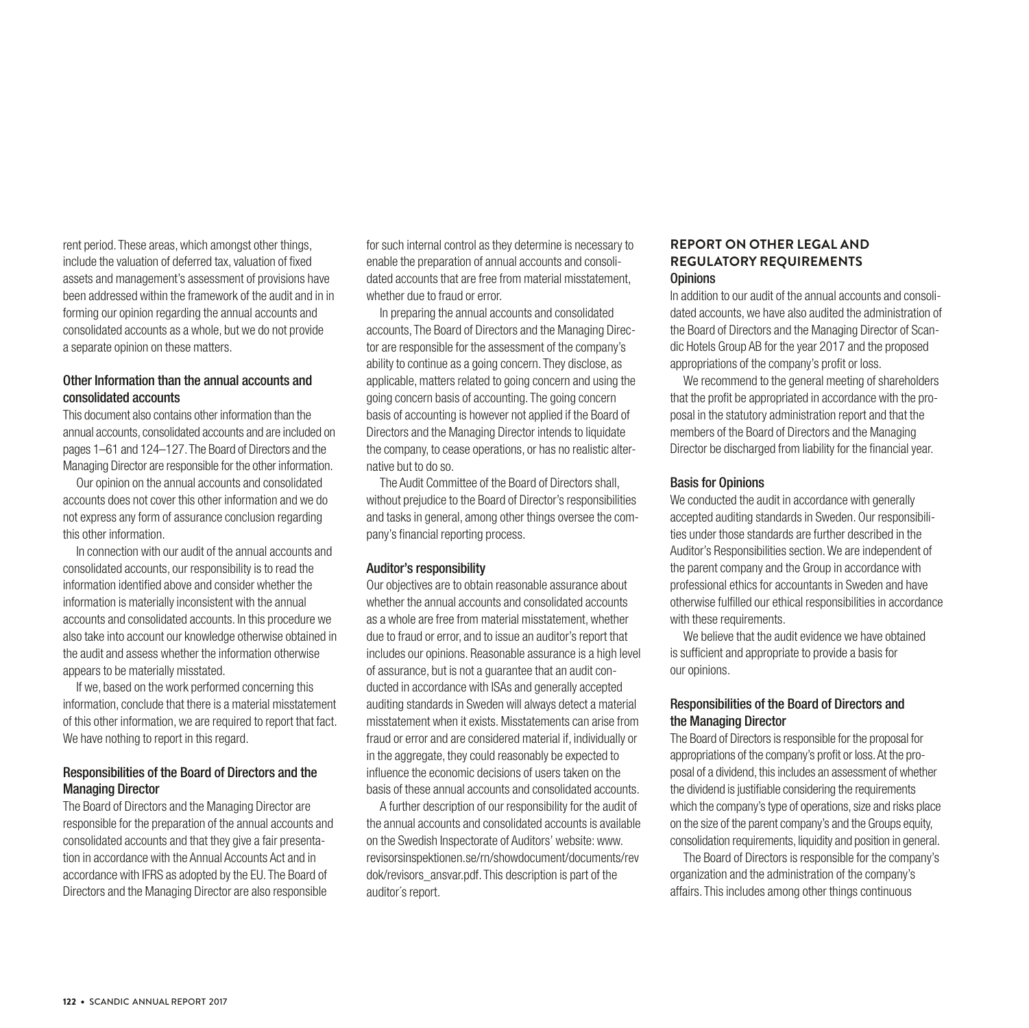rent period. These areas, which amongst other things, include the valuation of deferred tax, valuation of fixed assets and management's assessment of provisions have been addressed within the framework of the audit and in in forming our opinion regarding the annual accounts and consolidated accounts as a whole, but we do not provide a separate opinion on these matters.

# Other Information than the annual accounts and consolidated accounts

This document also contains other information than the annual accounts, consolidated accounts and are included on pages 1–61 and 124–127. The Board of Directors and the Managing Director are responsible for the other information.

Our opinion on the annual accounts and consolidated accounts does not cover this other information and we do not express any form of assurance conclusion regarding this other information.

In connection with our audit of the annual accounts and consolidated accounts, our responsibility is to read the information identified above and consider whether the information is materially inconsistent with the annual accounts and consolidated accounts. In this procedure we also take into account our knowledge otherwise obtained in the audit and assess whether the information otherwise appears to be materially misstated.

If we, based on the work performed concerning this information, conclude that there is a material misstatement of this other information, we are required to report that fact. We have nothing to report in this regard.

# Responsibilities of the Board of Directors and the Managing Director

The Board of Directors and the Managing Director are responsible for the preparation of the annual accounts and consolidated accounts and that they give a fair presentation in accordance with the Annual Accounts Act and in accordance with IFRS as adopted by the EU. The Board of Directors and the Managing Director are also responsible

for such internal control as they determine is necessary to enable the preparation of annual accounts and consolidated accounts that are free from material misstatement, whether due to fraud or error.

In preparing the annual accounts and consolidated accounts, The Board of Directors and the Managing Director are responsible for the assessment of the company's ability to continue as a going concern. They disclose, as applicable, matters related to going concern and using the going concern basis of accounting. The going concern basis of accounting is however not applied if the Board of Directors and the Managing Director intends to liquidate the company, to cease operations, or has no realistic alternative but to do so.

The Audit Committee of the Board of Directors shall, without prejudice to the Board of Director's responsibilities and tasks in general, among other things oversee the company's financial reporting process.

# Auditor's responsibility

Our objectives are to obtain reasonable assurance about whether the annual accounts and consolidated accounts as a whole are free from material misstatement, whether due to fraud or error, and to issue an auditor's report that includes our opinions. Reasonable assurance is a high level of assurance, but is not a guarantee that an audit conducted in accordance with ISAs and generally accepted auditing standards in Sweden will always detect a material misstatement when it exists. Misstatements can arise from fraud or error and are considered material if, individually or in the aggregate, they could reasonably be expected to influence the economic decisions of users taken on the basis of these annual accounts and consolidated accounts.

A further description of our responsibility for the audit of the annual accounts and consolidated accounts is available on the Swedish Inspectorate of Auditors' website: www. revisorsinspektionen.se/rn/showdocument/documents/rev dok/revisors\_ansvar.pdf. This description is part of the auditor´s report.

# **REPORT ON OTHER LEGAL AND REGULATORY REQUIREMENTS Opinions**

In addition to our audit of the annual accounts and consolidated accounts, we have also audited the administration of the Board of Directors and the Managing Director of Scandic Hotels Group AB for the year 2017 and the proposed appropriations of the company's profit or loss.

We recommend to the general meeting of shareholders that the profit be appropriated in accordance with the proposal in the statutory administration report and that the members of the Board of Directors and the Managing Director be discharged from liability for the financial year.

# Basis for Opinions

We conducted the audit in accordance with generally accepted auditing standards in Sweden. Our responsibilities under those standards are further described in the Auditor's Responsibilities section. We are independent of the parent company and the Group in accordance with professional ethics for accountants in Sweden and have otherwise fulfilled our ethical responsibilities in accordance with these requirements.

We believe that the audit evidence we have obtained is sufficient and appropriate to provide a basis for our opinions.

# Responsibilities of the Board of Directors and the Managing Director

The Board of Directors is responsible for the proposal for appropriations of the company's profit or loss. At the proposal of a dividend, this includes an assessment of whether the dividend is justifiable considering the requirements which the company's type of operations, size and risks place on the size of the parent company's and the Groups equity, consolidation requirements, liquidity and position in general.

The Board of Directors is responsible for the company's organization and the administration of the company's affairs. This includes among other things continuous